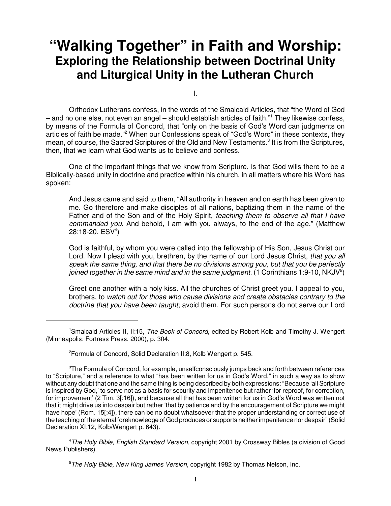# **"Walking Together" in Faith and Worship: Exploring the Relationship between Doctrinal Unity and Liturgical Unity in the Lutheran Church**

I.

Orthodox Lutherans confess, in the words of the Smalcald Articles, that "the Word of God - and no one else, not even an angel - should establish articles of faith."<sup>1</sup> They likewise confess, by means of the Formula of Concord, that "only on the basis of God's Word can judgments on articles of faith be made."<sup>2</sup> When our Confessions speak of "God's Word" in these contexts, they mean, of course, the Sacred Scriptures of the Old and New Testaments.<sup>3</sup> It is from the Scriptures, then, that we learn what God wants us to believe and confess.

One of the important things that we know from Scripture, is that God wills there to be a Biblically-based unity in doctrine and practice within his church, in all matters where his Word has spoken:

And Jesus came and said to them, "All authority in heaven and on earth has been given to me. Go therefore and make disciples of all nations, baptizing them in the name of the Father and of the Son and of the Holy Spirit, teaching them to observe all that I have commanded you. And behold, I am with you always, to the end of the age." (Matthew 28:18-20, ESV<sup>4</sup>)

God is faithful, by whom you were called into the fellowship of His Son, Jesus Christ our Lord. Now I plead with you, brethren, by the name of our Lord Jesus Christ, that you all speak the same thing, and that there be no divisions among you, but that you be perfectly joined together in the same mind and in the same judgment. (1 Corinthians 1:9-10, NKJV<sup>5</sup>)

Greet one another with a holy kiss. All the churches of Christ greet you. I appeal to you, brothers, to watch out for those who cause divisions and create obstacles contrary to the doctrine that you have been taught; avoid them. For such persons do not serve our Lord

<sup>4</sup>The Holy Bible, English Standard Version, copyright 2001 by Crossway Bibles (a division of Good News Publishers).

 $5$ The Holy Bible, New King James Version, copyright 1982 by Thomas Nelson, Inc.

<sup>&</sup>lt;sup>1</sup>Smalcald Articles II, II:15, The Book of Concord, edited by Robert Kolb and Timothy J. Wengert (Minneapolis: Fortress Press, 2000), p. 304.

<sup>2</sup>Formula of Concord, Solid Declaration II:8, Kolb Wengert p. 545.

<sup>&</sup>lt;sup>3</sup>The Formula of Concord, for example, unselfconsciously jumps back and forth between references to "Scripture," and a reference to what "has been written for us in God's Word," in such a way as to show without any doubt that one and the same thing is being described by both expressions: "Because 'all Scripture is inspired by God,' to serve not as a basis for security and impenitence but rather 'for reproof, for correction, for improvement' (2 Tim. 3[:16]), and because all that has been written for us in God's Word was written not that it might drive us into despair but rather 'that by patience and by the encouragement of Scripture we might have hope' (Rom. 15[:4]), there can be no doubt whatsoever that the proper understanding or correct use of the teaching of the eternal foreknowledge of God produces or supports neither impenitence nor despair" (Solid Declaration XI:12, Kolb/Wengert p. 643).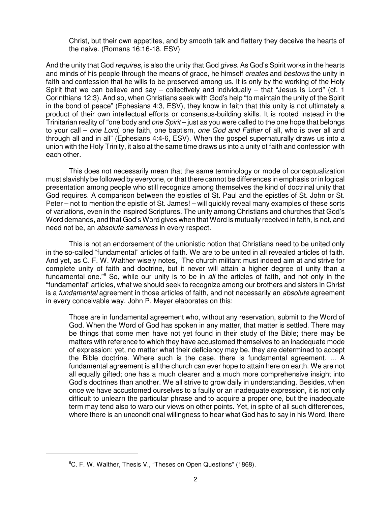Christ, but their own appetites, and by smooth talk and flattery they deceive the hearts of the naive. (Romans 16:16-18, ESV)

And the unity that God *requires*, is also the unity that God *gives*. As God's Spirit works in the hearts and minds of his people through the means of grace, he himself *creates* and *bestows* the unity in faith and confession that he wills to be preserved among us. It is only by the working of the Holy Spirit that we can believe and say – collectively and individually – that "Jesus is Lord" (cf. 1 Corinthians 12:3). And so, when Christians seek with God's help "to maintain the unity of the Spirit in the bond of peace" (Ephesians 4:3, ESV), they know in faith that this unity is not ultimately a product of their own intellectual efforts or consensus-building skills. It is rooted instead in the Trinitarian reality of "one body and *one Spirit* – just as you were called to the one hope that belongs to your call – one Lord, one faith, one baptism, one God and Father of all, who is over all and through all and in all" (Ephesians 4:4-6, ESV). When the gospel supernaturally draws us into a union with the Holy Trinity, it also at the same time draws us into a unity of faith and confession with each other.

This does not necessarily mean that the same terminology or mode of conceptualization must slavishly be followed by everyone, or that there cannot be differences in emphasis or in logical presentation among people who still recognize among themselves the kind of doctrinal unity that God requires. A comparison between the epistles of St. Paul and the epistles of St. John or St. Peter – not to mention the epistle of St. James! – will quickly reveal many examples of these sorts of variations, even in the inspired Scriptures. The unity among Christians and churches that God's Word demands, and that God's Word gives when that Word is mutually received in faith, is not, and need not be, an absolute sameness in every respect.

This is not an endorsement of the unionistic notion that Christians need to be united only in the so-called "fundamental" articles of faith. We are to be united in all revealed articles of faith. And yet, as C. F. W. Walther wisely notes, "The church militant must indeed aim at and strive for complete unity of faith and doctrine, but it never will attain a higher degree of unity than a fundamental one."<sup>6</sup> So, while our unity is to be in all the articles of faith, and not only in the "fundamental" articles, what we should seek to recognize among our brothers and sisters in Christ is a *fundamental* agreement in those articles of faith, and not necessarily an *absolute* agreement in every conceivable way. John P. Meyer elaborates on this:

Those are in fundamental agreement who, without any reservation, submit to the Word of God. When the Word of God has spoken in any matter, that matter is settled. There may be things that some men have not yet found in their study of the Bible; there may be matters with reference to which they have accustomed themselves to an inadequate mode of expression; yet, no matter what their deficiency may be, they are determined to accept the Bible doctrine. Where such is the case, there is fundamental agreement. ... A fundamental agreement is all the church can ever hope to attain here on earth. We are not all equally gifted; one has a much clearer and a much more comprehensive insight into God's doctrines than another. We all strive to grow daily in understanding. Besides, when once we have accustomed ourselves to a faulty or an inadequate expression, it is not only difficult to unlearn the particular phrase and to acquire a proper one, but the inadequate term may tend also to warp our views on other points. Yet, in spite of all such differences, where there is an unconditional willingness to hear what God has to say in his Word, there

<sup>6</sup>C. F. W. Walther, Thesis V., "Theses on Open Questions" (1868).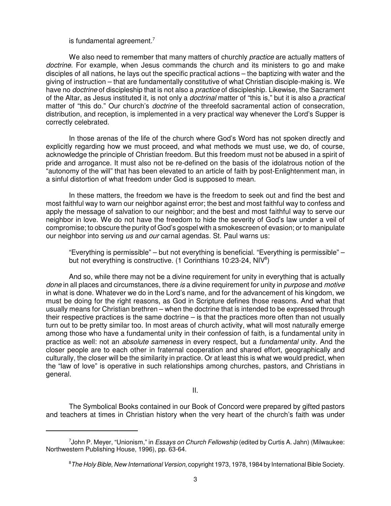is fundamental agreement. $<sup>7</sup>$ </sup>

We also need to remember that many matters of churchly *practice* are actually matters of doctrine. For example, when Jesus commands the church and its ministers to go and make disciples of all nations, he lays out the specific practical actions – the baptizing with water and the giving of instruction – that are fundamentally constitutive of what Christian disciple-making is. We have no *doctrine* of discipleship that is not also a *practice* of discipleship. Likewise, the Sacrament of the Altar, as Jesus instituted it, is not only a doctrinal matter of "this is," but it is also a practical matter of "this do." Our church's *doctrine* of the threefold sacramental action of consecration, distribution, and reception, is implemented in a very practical way whenever the Lord's Supper is correctly celebrated.

In those arenas of the life of the church where God's Word has not spoken directly and explicitly regarding how we must proceed, and what methods we must use, we do, of course, acknowledge the principle of Christian freedom. But this freedom must not be abused in a spirit of pride and arrogance. It must also not be re-defined on the basis of the idolatrous notion of the "autonomy of the will" that has been elevated to an article of faith by post-Enlightenment man, in a sinful distortion of what freedom under God is supposed to mean.

In these matters, the freedom we have is the freedom to seek out and find the best and most faithful way to warn our neighbor against error; the best and most faithful way to confess and apply the message of salvation to our neighbor; and the best and most faithful way to serve our neighbor in love. We do not have the freedom to hide the severity of God's law under a veil of compromise; to obscure the purity of God's gospel with a smokescreen of evasion; or to manipulate our neighbor into serving us and our carnal agendas. St. Paul warns us:

"Everything is permissible" – but not everything is beneficial. "Everything is permissible" – but not everything is constructive. (1 Corinthians 10:23-24,  $NIV<sup>8</sup>$ )

And so, while there may not be a divine requirement for unity in everything that is actually done in all places and circumstances, there is a divine requirement for unity in *purpose* and *motive* in what is done. Whatever we do in the Lord's name, and for the advancement of his kingdom, we must be doing for the right reasons, as God in Scripture defines those reasons. And what that usually means for Christian brethren – when the doctrine that is intended to be expressed through their respective practices is the same doctrine – is that the practices more often than not usually turn out to be pretty similar too. In most areas of church activity, what will most naturally emerge among those who have a fundamental unity in their confession of faith, is a fundamental unity in practice as well: not an absolute sameness in every respect, but a fundamental unity. And the closer people are to each other in fraternal cooperation and shared effort, geographically and culturally, the closer will be the similarity in practice. Or at least this is what we would predict, when the "law of love" is operative in such relationships among churches, pastors, and Christians in general.

II.

The Symbolical Books contained in our Book of Concord were prepared by gifted pastors and teachers at times in Christian history when the very heart of the church's faith was under

<sup>&</sup>lt;sup>7</sup>John P. Meyer, "Unionism," in *Essays on Church Fellowship* (edited by Curtis A. Jahn) (Milwaukee: Northwestern Publishing House, 1996), pp. 63-64.

<sup>&</sup>lt;sup>8</sup> The Holy Bible, New International Version, copyright 1973, 1978, 1984 by International Bible Society.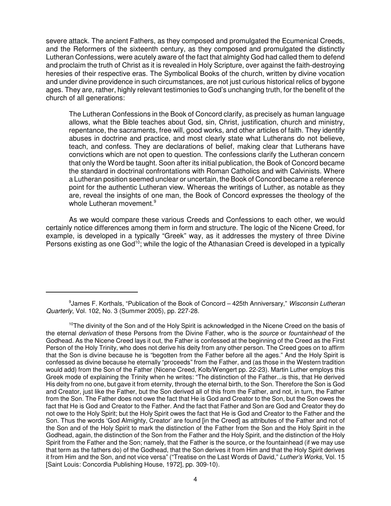severe attack. The ancient Fathers, as they composed and promulgated the Ecumenical Creeds, and the Reformers of the sixteenth century, as they composed and promulgated the distinctly Lutheran Confessions, were acutely aware of the fact that almighty God had called them to defend and proclaim the truth of Christ as it is revealed in Holy Scripture, over against the faith-destroying heresies of their respective eras. The Symbolical Books of the church, written by divine vocation and under divine providence in such circumstances, are not just curious historical relics of bygone ages. They are, rather, highly relevant testimonies to God's unchanging truth, for the benefit of the church of all generations:

The Lutheran Confessions in the Book of Concord clarify, as precisely as human language allows, what the Bible teaches about God, sin, Christ, justification, church and ministry, repentance, the sacraments, free will, good works, and other articles of faith. They identify abuses in doctrine and practice, and most clearly state what Lutherans do not believe, teach, and confess. They are declarations of belief, making clear that Lutherans have convictions which are not open to question. The confessions clarify the Lutheran concern that only the Word be taught. Soon after its initial publication, the Book of Concord became the standard in doctrinal confrontations with Roman Catholics and with Calvinists. Where a Lutheran position seemed unclear or uncertain, the Book of Concord became a reference point for the authentic Lutheran view. Whereas the writings of Luther, as notable as they are, reveal the insights of one man, the Book of Concord expresses the theology of the whole Lutheran movement.<sup>9</sup>

As we would compare these various Creeds and Confessions to each other, we would certainly notice differences among them in form and structure. The logic of the Nicene Creed, for example, is developed in a typically "Greek" way, as it addresses the mystery of three Divine Persons existing as one God<sup>10</sup>; while the logic of the Athanasian Creed is developed in a typically

<sup>&</sup>lt;sup>9</sup>James F. Korthals, "Publication of the Book of Concord – 425th Anniversary," Wisconsin Lutheran Quarterly, Vol. 102, No. 3 (Summer 2005), pp. 227-28.

 $10$ The divinity of the Son and of the Holy Spirit is acknowledged in the Nicene Creed on the basis of the eternal *derivation* of these Persons from the Divine Father, who is the *source* or *fountainhead* of the Godhead. As the Nicene Creed lays it out, the Father is confessed at the beginning of the Creed as the First Person of the Holy Trinity, who does not derive his deity from any other person. The Creed goes on to affirm that the Son is divine because he is "begotten from the Father before all the ages." And the Holy Spirit is confessed as divine because he eternally "proceeds" from the Father, and (as those in the Western tradition would add) from the Son of the Father (Nicene Creed, Kolb/Wengert pp. 22-23). Martin Luther employs this Greek mode of explaining the Trinity when he writes: "The distinction of the Father...is this, that He derived His deity from no one, but gave it from eternity, through the eternal birth, to the Son. Therefore the Son is God and Creator, just like the Father, but the Son derived all of this from the Father, and not, in turn, the Father from the Son. The Father does not owe the fact that He is God and Creator to the Son, but the Son owes the fact that He is God and Creator to the Father. And the fact that Father and Son are God and Creator they do not owe to the Holy Spirit; but the Holy Spirit owes the fact that He is God and Creator to the Father and the Son. Thus the words 'God Almighty, Creator' are found [in the Creed] as attributes of the Father and not of the Son and of the Holy Spirit to mark the distinction of the Father from the Son and the Holy Spirit in the Godhead, again, the distinction of the Son from the Father and the Holy Spirit, and the distinction of the Holy Spirit from the Father and the Son; namely, that the Father is the source, or the fountainhead (if we may use that term as the fathers do) of the Godhead, that the Son derives it from Him and that the Holy Spirit derives it from Him and the Son, and not vice versa" ("Treatise on the Last Words of David," Luther's Works, Vol. 15 [Saint Louis: Concordia Publishing House, 1972], pp. 309-10).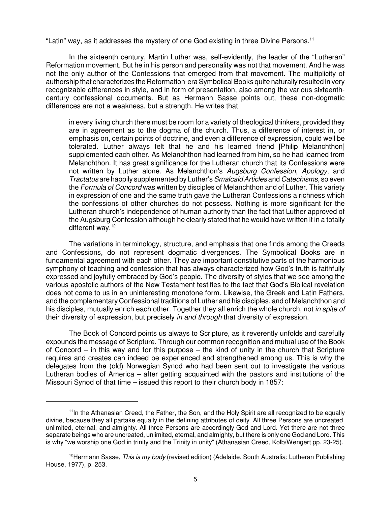"Latin" way, as it addresses the mystery of one God existing in three Divine Persons.<sup>11</sup>

In the sixteenth century, Martin Luther was, self-evidently, the leader of the "Lutheran" Reformation movement. But he in his person and personality was not that movement. And he was not the only author of the Confessions that emerged from that movement. The multiplicity of authorship that characterizes the Reformation-era Symbolical Books quite naturally resulted in very recognizable differences in style, and in form of presentation, also among the various sixteenthcentury confessional documents. But as Hermann Sasse points out, these non-dogmatic differences are not a weakness, but a strength. He writes that

in every living church there must be room for a variety of theological thinkers, provided they are in agreement as to the dogma of the church. Thus, a difference of interest in, or emphasis on, certain points of doctrine, and even a difference of expression, could well be tolerated. Luther always felt that he and his learned friend [Philip Melanchthon] supplemented each other. As Melanchthon had learned from him, so he had learned from Melanchthon. It has great significance for the Lutheran church that its Confessions were not written by Luther alone. As Melanchthon's Augsburg Confession, Apology, and Tractatus are happily supplemented by Luther's Smalcald Articles and Catechisms, so even the *Formula of Concord* was written by disciples of Melanchthon and of Luther. This variety in expression of one and the same truth gave the Lutheran Confessions a richness which the confessions of other churches do not possess. Nothing is more significant for the Lutheran church's independence of human authority than the fact that Luther approved of the Augsburg Confession although he clearly stated that he would have written it in a totally different way.<sup>12</sup>

The variations in terminology, structure, and emphasis that one finds among the Creeds and Confessions, do not represent dogmatic divergences. The Symbolical Books are in fundamental agreement with each other. They are important constitutive parts of the harmonious symphony of teaching and confession that has always characterized how God's truth is faithfully expressed and joyfully embraced by God's people. The diversity of styles that we see among the various apostolic authors of the New Testament testifies to the fact that God's Biblical revelation does not come to us in an uninteresting monotone form. Likewise, the Greek and Latin Fathers, and the complementary Confessional traditions of Luther and his disciples, and of Melanchthon and his disciples, mutually enrich each other. Together they all enrich the whole church, not in spite of their diversity of expression, but precisely in and through that diversity of expression.

The Book of Concord points us always to Scripture, as it reverently unfolds and carefully expounds the message of Scripture. Through our common recognition and mutual use of the Book of Concord – in this way and for this purpose – the kind of unity in the church that Scripture requires and creates can indeed be experienced and strengthened among us. This is why the delegates from the (old) Norwegian Synod who had been sent out to investigate the various Lutheran bodies of America – after getting acquainted with the pastors and institutions of the Missouri Synod of that time – issued this report to their church body in 1857:

<sup>&</sup>lt;sup>11</sup>In the Athanasian Creed, the Father, the Son, and the Holy Spirit are all recognized to be equally divine, because they all partake equally in the defining attributes of deity. All three Persons are uncreated, unlimited, eternal, and almighty. All three Persons are accordingly God and Lord. Yet there are not three separate beings who are uncreated, unlimited, eternal, and almighty, but there is only one God and Lord. This is why "we worship one God in trinity and the Trinity in unity" (Athanasian Creed, Kolb/Wengert pp. 23-25).

<sup>&</sup>lt;sup>12</sup>Hermann Sasse, This is my body (revised edition) (Adelaide, South Australia: Lutheran Publishing House, 1977), p. 253.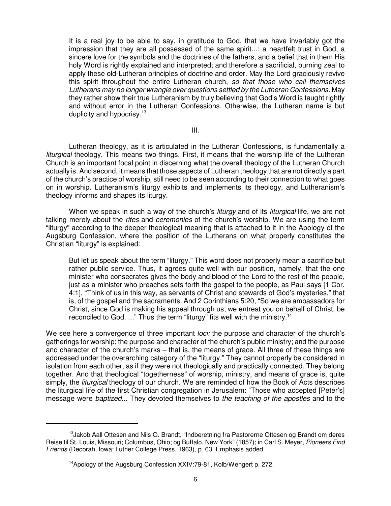It is a real joy to be able to say, in gratitude to God, that we have invariably got the impression that they are all possessed of the same spirit...: a heartfelt trust in God, a sincere love for the symbols and the doctrines of the fathers, and a belief that in them His holy Word is rightly explained and interpreted; and therefore a sacrificial, burning zeal to apply these old-Lutheran principles of doctrine and order. May the Lord graciously revive this spirit throughout the entire Lutheran church, so that those who call themselves Lutherans may no longer wrangle over questions settled by the Lutheran Confessions. May they rather show their true Lutheranism by truly believing that God's Word is taught rightly and without error in the Lutheran Confessions. Otherwise, the Lutheran name is but duplicity and hypocrisy.<sup>13</sup>

III.

Lutheran theology, as it is articulated in the Lutheran Confessions, is fundamentally a liturgical theology. This means two things. First, it means that the worship life of the Lutheran Church is an important focal point in discerning what the overall theology of the Lutheran Church actually is. And second, it means that those aspects of Lutheran theology that are not directly a part of the church's practice of worship, still need to be seen according to their connection to what goes on in worship. Lutheranism's liturgy exhibits and implements its theology, and Lutheranism's theology informs and shapes its liturgy.

When we speak in such a way of the church's *liturgy* and of its *liturgical* life, we are not talking merely about the rites and ceremonies of the church's worship. We are using the term "liturgy" according to the deeper theological meaning that is attached to it in the Apology of the Augsburg Confession, where the position of the Lutherans on what properly constitutes the Christian "liturgy" is explained:

But let us speak about the term "liturgy." This word does not properly mean a sacrifice but rather public service. Thus, it agrees quite well with our position, namely, that the one minister who consecrates gives the body and blood of the Lord to the rest of the people, just as a minister who preaches sets forth the gospel to the people, as Paul says [1 Cor. 4:1], "Think of us in this way, as servants of Christ and stewards of God's mysteries," that is, of the gospel and the sacraments. And 2 Corinthians 5:20, "So we are ambassadors for Christ, since God is making his appeal through us; we entreat you on behalf of Christ, be reconciled to God. ..." Thus the term "liturgy" fits well with the ministry.<sup>14</sup>

We see here a convergence of three important *loci:* the purpose and character of the church's gatherings for worship; the purpose and character of the church's public ministry; and the purpose and character of the church's marks – that is, the means of grace. All three of these things are addressed under the overarching category of the "liturgy." They cannot properly be considered in isolation from each other, as if they were not theologically and practically connected. They belong together. And that theological "togetherness" of worship, ministry, and means of grace is, quite simply, the *liturgical* theology of our church. We are reminded of how the Book of Acts describes the liturgical life of the first Christian congregation in Jerusalem: "Those who accepted [Peter's] message were baptized... They devoted themselves to the teaching of the apostles and to the

<sup>&</sup>lt;sup>13</sup> Jakob Aall Ottesen and Nils O. Brandt, "Indberetning fra Pastorerne Ottesen og Brandt om deres Reise til St. Louis, Missouri; Columbus, Ohio; og Buffalo, New York" (1857); in Carl S. Meyer, Pioneers Find Friends (Decorah, Iowa: Luther College Press, 1963), p. 63. Emphasis added.

<sup>&</sup>lt;sup>14</sup>Apology of the Augsburg Confession XXIV:79-81, Kolb/Wengert p. 272.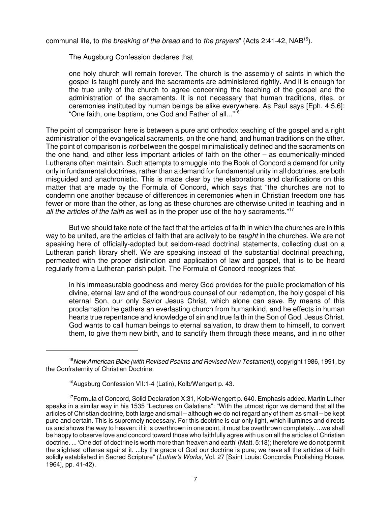communal life, to the breaking of the bread and to the prayers" (Acts 2:41-42, NAB<sup>15</sup>).

The Augsburg Confession declares that

one holy church will remain forever. The church is the assembly of saints in which the gospel is taught purely and the sacraments are administered rightly. And it is enough for the true unity of the church to agree concerning the teaching of the gospel and the administration of the sacraments. It is not necessary that human traditions, rites, or ceremonies instituted by human beings be alike everywhere. As Paul says [Eph. 4:5,6]: "One faith, one baptism, one God and Father of all..."<sup>16</sup>

The point of comparison here is between a pure and orthodox teaching of the gospel and a right administration of the evangelical sacraments, on the one hand, and human traditions on the other. The point of comparison is *not* between the gospel minimalistically defined and the sacraments on the one hand, and other less important articles of faith on the other – as ecumenically-minded Lutherans often maintain. Such attempts to smuggle into the Book of Concord a demand for unity only in fundamental doctrines, rather than a demand for fundamental unity in all doctrines, are both misguided and anachronistic. This is made clear by the elaborations and clarifications on this matter that are made by the Formula of Concord, which says that "the churches are not to condemn one another because of differences in ceremonies when in Christian freedom one has fewer or more than the other, as long as these churches are otherwise united in teaching and in all the articles of the faith as well as in the proper use of the holy sacraments." $17$ 

But we should take note of the fact that the articles of faith in which the churches are in this way to be united, are the articles of faith that are actively to be *taught* in the churches. We are not speaking here of officially-adopted but seldom-read doctrinal statements, collecting dust on a Lutheran parish library shelf. We are speaking instead of the substantial doctrinal preaching, permeated with the proper distinction and application of law and gospel, that is to be heard regularly from a Lutheran parish pulpit. The Formula of Concord recognizes that

in his immeasurable goodness and mercy God provides for the public proclamation of his divine, eternal law and of the wondrous counsel of our redemption, the holy gospel of his eternal Son, our only Savior Jesus Christ, which alone can save. By means of this proclamation he gathers an everlasting church from humankind, and he effects in human hearts true repentance and knowledge of sin and true faith in the Son of God, Jesus Christ. God wants to call human beings to eternal salvation, to draw them to himself, to convert them, to give them new birth, and to sanctify them through these means, and in no other

<sup>&</sup>lt;sup>15</sup>New American Bible (with Revised Psalms and Revised New Testament), copyright 1986, 1991, by the Confraternity of Christian Doctrine.

<sup>&</sup>lt;sup>16</sup>Augsburg Confession VII:1-4 (Latin), Kolb/Wengert p. 43.

 $17$ Formula of Concord, Solid Declaration X:31, Kolb/Wengert p. 640. Emphasis added. Martin Luther speaks in a similar way in his 1535 "Lectures on Galatians": "With the utmost rigor we demand that all the articles of Christian doctrine, both large and small – although we do not regard any of them as small – be kept pure and certain. This is supremely necessary. For this doctrine is our only light, which illumines and directs us and shows the way to heaven; if it is overthrown in one point, it must be overthrown completely. ...we shall be happy to observe love and concord toward those who faithfully agree with us on all the articles of Christian doctrine. ... 'One dot' of doctrine is worth more than 'heaven and earth' (Matt. 5:18); therefore we do not permit the slightest offense against it. ...by the grace of God our doctrine is pure; we have all the articles of faith solidly established in Sacred Scripture" (Luther's Works, Vol. 27 [Saint Louis: Concordia Publishing House, 1964], pp. 41-42).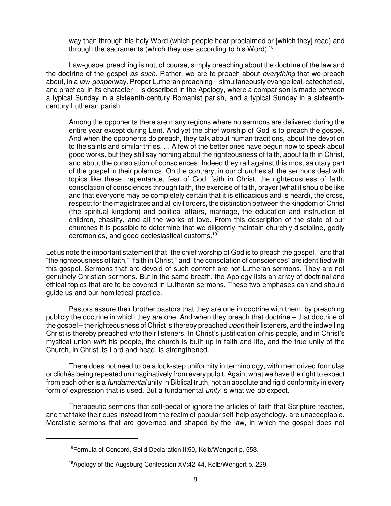way than through his holy Word (which people hear proclaimed or [which they] read) and through the sacraments (which they use according to his Word).<sup>18</sup>

Law-gospel preaching is not, of course, simply preaching about the doctrine of the law and the doctrine of the gospel as such. Rather, we are to preach about everything that we preach about, in a law-gospel way. Proper Lutheran preaching – simultaneously evangelical, catechetical, and practical in its character – is described in the Apology, where a comparison is made between a typical Sunday in a sixteenth-century Romanist parish, and a typical Sunday in a sixteenthcentury Lutheran parish:

Among the opponents there are many regions where no sermons are delivered during the entire year except during Lent. And yet the chief worship of God is to preach the gospel. And when the opponents do preach, they talk about human traditions, about the devotion to the saints and similar trifles. ... A few of the better ones have begun now to speak about good works, but they still say nothing about the righteousness of faith, about faith in Christ, and about the consolation of consciences. Indeed they rail against this most salutary part of the gospel in their polemics. On the contrary, in our churches all the sermons deal with topics like these: repentance, fear of God, faith in Christ, the righteousness of faith, consolation of consciences through faith, the exercise of faith, prayer (what it should be like and that everyone may be completely certain that it is efficacious and is heard), the cross, respect for the magistrates and all civil orders, the distinction between the kingdom of Christ (the spiritual kingdom) and political affairs, marriage, the education and instruction of children, chastity, and all the works of love. From this description of the state of our churches it is possible to determine that we diligently maintain churchly discipline, godly ceremonies, and good ecclesiastical customs.<sup>19</sup>

Let us note the important statement that "the chief worship of God is to preach the gospel," and that "the righteousness of faith," "faith in Christ," and "the consolation of consciences" are identified with this gospel. Sermons that are devoid of such content are not Lutheran sermons. They are not genuinely Christian sermons. But in the same breath, the Apology lists an array of doctrinal and ethical topics that are to be covered in Lutheran sermons. These two emphases can and should guide us and our homiletical practice.

Pastors assure their brother pastors that they are one in doctrine with them, by preaching publicly the doctrine in which they are one. And when they preach that doctrine – that doctrine of the gospel – the righteousness of Christ is thereby preached *upon* their listeners, and the indwelling Christ is thereby preached into their listeners. In Christ's justification of his people, and in Christ's mystical union with his people, the church is built up in faith and life, and the true unity of the Church, in Christ its Lord and head, is strengthened.

There does not need to be a lock-step uniformity in terminology, with memorized formulas or clichés being repeated unimaginatively from every pulpit. Again, what we have the right to expect from each other is a *fundamental* unity in Biblical truth, not an absolute and rigid conformity in every form of expression that is used. But a fundamental *unity* is what we do expect.

Therapeutic sermons that soft-pedal or ignore the articles of faith that Scripture teaches, and that take their cues instead from the realm of popular self-help psychology, are unacceptable. Moralistic sermons that are governed and shaped by the law, in which the gospel does not

<sup>&</sup>lt;sup>18</sup>Formula of Concord, Solid Declaration II:50, Kolb/Wengert p. 553.

<sup>&</sup>lt;sup>19</sup>Apology of the Augsburg Confession XV:42-44, Kolb/Wengert p. 229.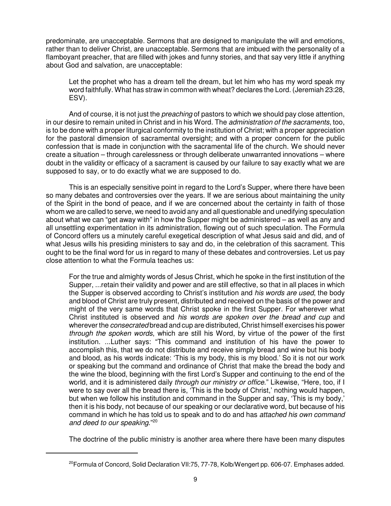predominate, are unacceptable. Sermons that are designed to manipulate the will and emotions, rather than to deliver Christ, are unacceptable. Sermons that are imbued with the personality of a flamboyant preacher, that are filled with jokes and funny stories, and that say very little if anything about God and salvation, are unacceptable:

Let the prophet who has a dream tell the dream, but let him who has my word speak my word faithfully. What has straw in common with wheat? declares the Lord. (Jeremiah 23:28, ESV).

And of course, it is not just the *preaching* of pastors to which we should pay close attention, in our desire to remain united in Christ and in his Word. The *administration of the sacraments*, too, is to be done with a proper liturgical conformity to the institution of Christ; with a proper appreciation for the pastoral dimension of sacramental oversight; and with a proper concern for the public confession that is made in conjunction with the sacramental life of the church. We should never create a situation – through carelessness or through deliberate unwarranted innovations – where doubt in the validity or efficacy of a sacrament is caused by our failure to say exactly what we are supposed to say, or to do exactly what we are supposed to do.

This is an especially sensitive point in regard to the Lord's Supper, where there have been so many debates and controversies over the years. If we are serious about maintaining the unity of the Spirit in the bond of peace, and if we are concerned about the certainty in faith of those whom we are called to serve, we need to avoid any and all questionable and unedifying speculation about what we can "get away with" in how the Supper might be administered – as well as any and all unsettling experimentation in its administration, flowing out of such speculation. The Formula of Concord offers us a minutely careful exegetical description of what Jesus said and did, and of what Jesus wills his presiding ministers to say and do, in the celebration of this sacrament. This ought to be the final word for us in regard to many of these debates and controversies. Let us pay close attention to what the Formula teaches us:

For the true and almighty words of Jesus Christ, which he spoke in the first institution of the Supper, ...retain their validity and power and are still effective, so that in all places in which the Supper is observed according to Christ's institution and his words are used, the body and blood of Christ are truly present, distributed and received on the basis of the power and might of the very same words that Christ spoke in the first Supper. For wherever what Christ instituted is observed and his words are spoken over the bread and cup and wherever the *consecrated* bread and cup are distributed, Christ himself exercises his power through the spoken words, which are still his Word, by virtue of the power of the first institution. ...Luther says: "This command and institution of his have the power to accomplish this, that we do not distribute and receive simply bread and wine but his body and blood, as his words indicate: 'This is my body, this is my blood.' So it is not our work or speaking but the command and ordinance of Christ that make the bread the body and the wine the blood, beginning with the first Lord's Supper and continuing to the end of the world, and it is administered daily *through our ministry or office*." Likewise, "Here, too, if I were to say over all the bread there is, 'This is the body of Christ,' nothing would happen, but when we follow his institution and command in the Supper and say, 'This is my body,' then it is his body, not because of our speaking or our declarative word, but because of his command in which he has told us to speak and to do and has attached his own command and deed to our speaking."<sup>20</sup>

The doctrine of the public ministry is another area where there have been many disputes

 $^{20}$ Formula of Concord, Solid Declaration VII:75, 77-78, Kolb/Wengert pp. 606-07. Emphases added.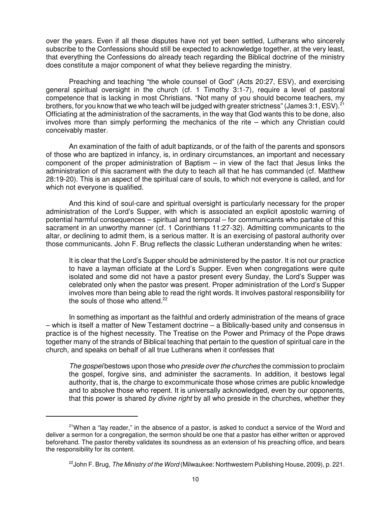over the years. Even if all these disputes have not yet been settled, Lutherans who sincerely subscribe to the Confessions should still be expected to acknowledge together, at the very least, that everything the Confessions do already teach regarding the Biblical doctrine of the ministry does constitute a major component of what they believe regarding the ministry.

Preaching and teaching "the whole counsel of God" (Acts 20:27, ESV), and exercising general spiritual oversight in the church (cf. 1 Timothy 3:1-7), require a level of pastoral competence that is lacking in most Christians. "Not many of you should become teachers, my brothers, for you know that we who teach will be judged with greater strictness" (James 3:1, ESV).<sup>21</sup> Officiating at the administration of the sacraments, in the way that God wants this to be done, also involves more than simply performing the mechanics of the rite – which any Christian could conceivably master.

An examination of the faith of adult baptizands, or of the faith of the parents and sponsors of those who are baptized in infancy, is, in ordinary circumstances, an important and necessary component of the proper administration of Baptism – in view of the fact that Jesus links the administration of this sacrament with the duty to teach all that he has commanded (cf. Matthew 28:19-20). This is an aspect of the spiritual care of souls, to which not everyone is called, and for which not everyone is qualified.

And this kind of soul-care and spiritual oversight is particularly necessary for the proper administration of the Lord's Supper, with which is associated an explicit apostolic warning of potential harmful consequences – spiritual and temporal – for communicants who partake of this sacrament in an unworthy manner (cf. 1 Corinthians 11:27-32). Admitting communicants to the altar, or declining to admit them, is a serious matter. It is an exercising of pastoral authority over those communicants. John F. Brug reflects the classic Lutheran understanding when he writes:

It is clear that the Lord's Supper should be administered by the pastor. It is not our practice to have a layman officiate at the Lord's Supper. Even when congregations were quite isolated and some did not have a pastor present every Sunday, the Lord's Supper was celebrated only when the pastor was present. Proper administration of the Lord's Supper involves more than being able to read the right words. It involves pastoral responsibility for the souls of those who attend. $22$ 

In something as important as the faithful and orderly administration of the means of grace – which is itself a matter of New Testament doctrine – a Biblically-based unity and consensus in practice is of the highest necessity. The Treatise on the Power and Primacy of the Pope draws together many of the strands of Biblical teaching that pertain to the question of spiritual care in the church, and speaks on behalf of all true Lutherans when it confesses that

The gospel bestows upon those who preside over the churches the commission to proclaim the gospel, forgive sins, and administer the sacraments. In addition, it bestows legal authority, that is, the charge to excommunicate those whose crimes are public knowledge and to absolve those who repent. It is universally acknowledged, even by our opponents, that this power is shared by divine right by all who preside in the churches, whether they

 $21$ When a "lay reader," in the absence of a pastor, is asked to conduct a service of the Word and deliver a sermon for a congregation, the sermon should be one that a pastor has either written or approved beforehand. The pastor thereby validates its soundness as an extension of his preaching office, and bears the responsibility for its content.

 $^{22}$ John F. Brug, *The Ministry of the Word* (Milwaukee: Northwestern Publishing House, 2009), p. 221.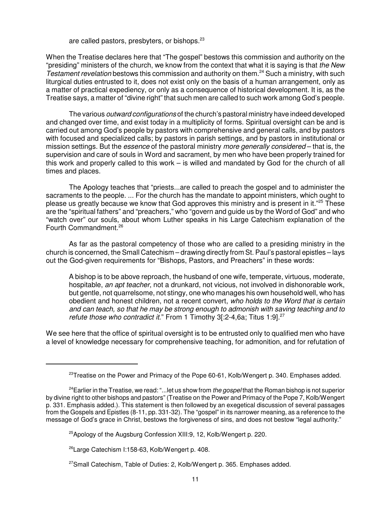are called pastors, presbyters, or bishops.<sup>23</sup>

When the Treatise declares here that "The gospel" bestows this commission and authority on the "presiding" ministers of the church, we know from the context that what it is saying is that the New Testament revelation bestows this commission and authority on them.<sup>24</sup> Such a ministry, with such liturgical duties entrusted to it, does not exist only on the basis of a human arrangement, only as a matter of practical expediency, or only as a consequence of historical development. It is, as the Treatise says, a matter of "divine right" that such men are called to such work among God's people.

The various *outward configurations* of the church's pastoral ministry have indeed developed and changed over time, and exist today in a multiplicity of forms. Spiritual oversight can be and is carried out among God's people by pastors with comprehensive and general calls, and by pastors with focused and specialized calls; by pastors in parish settings, and by pastors in institutional or mission settings. But the *essence* of the pastoral ministry *more generally considered* – that is, the supervision and care of souls in Word and sacrament, by men who have been properly trained for this work and properly called to this work – is willed and mandated by God for the church of all times and places.

The Apology teaches that "priests...are called to preach the gospel and to administer the sacraments to the people. ... For the church has the mandate to appoint ministers, which ought to please us greatly because we know that God approves this ministry and is present in it.<sup>"25</sup> These are the "spiritual fathers" and "preachers," who "govern and guide us by the Word of God" and who "watch over" our souls, about whom Luther speaks in his Large Catechism explanation of the Fourth Commandment.<sup>26</sup>

As far as the pastoral competency of those who are called to a presiding ministry in the church is concerned, the Small Catechism – drawing directly from St. Paul's pastoral epistles – lays out the God-given requirements for "Bishops, Pastors, and Preachers" in these words:

A bishop is to be above reproach, the husband of one wife, temperate, virtuous, moderate, hospitable, an apt teacher, not a drunkard, not vicious, not involved in dishonorable work, but gentle, not quarrelsome, not stingy, one who manages his own household well, who has obedient and honest children, not a recent convert, who holds to the Word that is certain and can teach, so that he may be strong enough to admonish with saving teaching and to refute those who contradict it." From 1 Timothy  $3$ [:2-4,6a; Titus 1:9].<sup>27</sup>

We see here that the office of spiritual oversight is to be entrusted only to qualified men who have a level of knowledge necessary for comprehensive teaching, for admonition, and for refutation of

 $^{23}$ Treatise on the Power and Primacy of the Pope 60-61, Kolb/Wengert p. 340. Emphases added.

<sup>&</sup>lt;sup>24</sup>Earlier in the Treatise, we read: "...let us show from the gospel that the Roman bishop is not superior by divine right to other bishops and pastors" (Treatise on the Power and Primacy of the Pope 7, Kolb/Wengert p. 331. Emphasis added.). This statement is then followed by an exegetical discussion of several passages from the Gospels and Epistles (8-11, pp. 331-32). The "gospel" in its narrower meaning, as a reference to the message of God's grace in Christ, bestows the forgiveness of sins, and does not bestow "legal authority."

<sup>&</sup>lt;sup>25</sup>Apology of the Augsburg Confession XIII:9, 12, Kolb/Wengert p. 220.

<sup>26</sup>Large Catechism I:158-63, Kolb/Wengert p. 408.

<sup>&</sup>lt;sup>27</sup>Small Catechism, Table of Duties: 2, Kolb/Wengert p. 365. Emphases added.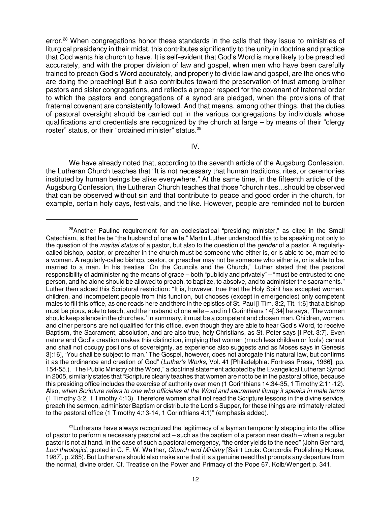error.<sup>28</sup> When congregations honor these standards in the calls that they issue to ministries of liturgical presidency in their midst, this contributes significantly to the unity in doctrine and practice that God wants his church to have. It is self-evident that God's Word is more likely to be preached accurately, and with the proper division of law and gospel, when men who have been carefully trained to preach God's Word accurately, and properly to divide law and gospel, are the ones who are doing the preaching! But it also contributes toward the preservation of trust among brother pastors and sister congregations, and reflects a proper respect for the covenant of fraternal order to which the pastors and congregations of a synod are pledged, when the provisions of that fraternal covenant are consistently followed. And that means, among other things, that the duties of pastoral oversight should be carried out in the various congregations by individuals whose qualifications and credentials are recognized by the church at large – by means of their "clergy roster" status, or their "ordained minister" status.<sup>29</sup>

IV.

We have already noted that, according to the seventh article of the Augsburg Confession, the Lutheran Church teaches that "It is not necessary that human traditions, rites, or ceremonies instituted by human beings be alike everywhere." At the same time, in the fifteenth article of the Augsburg Confession, the Lutheran Church teaches that those "church rites...should be observed that can be observed without sin and that contribute to peace and good order in the church, for example, certain holy days, festivals, and the like. However, people are reminded not to burden

<sup>&</sup>lt;sup>28</sup> Another Pauline requirement for an ecclesiastical "presiding minister," as cited in the Small Catechism, is that he be "the husband of one wife." Martin Luther understood this to be speaking not only to the question of the marital status of a pastor, but also to the question of the *gender* of a pastor. A regularlycalled bishop, pastor, or preacher in the church must be someone who either is, or is able to be, married to a woman. A regularly-called bishop, pastor, or preacher may not be someone who either is, or is able to be, married to a man. In his treatise "On the Councils and the Church," Luther stated that the pastoral responsibility of administering the means of grace – both "publicly and privately" – "must be entrusted to one person, and he alone should be allowed to preach, to baptize, to absolve, and to administer the sacraments." Luther then added this Scriptural restriction: "It is, however, true that the Holy Spirit has excepted women, children, and incompetent people from this function, but chooses (except in emergencies) only competent males to fill this office, as one reads here and there in the epistles of St. Paul [I Tim. 3:2, Tit. 1:6] that a bishop must be pious, able to teach, and the husband of one wife – and in I Corinthians 14[:34] he says, 'The women should keep silence in the churches.' In summary, it must be a competent and chosen man. Children, women, and other persons are not qualified for this office, even though they are able to hear God's Word, to receive Baptism, the Sacrament, absolution, and are also true, holy Christians, as St. Peter says [I Pet. 3:7]. Even nature and God's creation makes this distinction, implying that women (much less children or fools) cannot and shall not occupy positions of sovereignty, as experience also suggests and as Moses says in Genesis 3[:16], 'You shall be subject to man.' The Gospel, however, does not abrogate this natural law, but confirms it as the ordinance and creation of God" (Luther's Works, Vol. 41 [Philadelphia: Fortress Press, 1966], pp. 154-55.). "The Public Ministry of the Word," a doctrinal statement adopted by the Evangelical Lutheran Synod in 2005, similarly states that "Scripture clearly teaches that women are not to be in the pastoral office, because this presiding office includes the exercise of authority over men (1 Corinthians 14:34-35, 1 Timothy 2:11-12). Also, when Scripture refers to one who officiates at the Word and sacrament liturgy it speaks in male terms (1 Timothy 3:2, 1 Timothy 4:13). Therefore women shall not read the Scripture lessons in the divine service, preach the sermon, administer Baptism or distribute the Lord's Supper, for these things are intimately related to the pastoral office (1 Timothy 4:13-14, 1 Corinthians 4:1)" (emphasis added).

<sup>&</sup>lt;sup>29</sup>Lutherans have always recognized the legitimacy of a layman temporarily stepping into the office of pastor to perform a necessary pastoral act – such as the baptism of a person near death – when a regular pastor is not at hand. In the case of such a pastoral emergency, "the order yields to the need" (John Gerhard, Loci theologici; quoted in C. F. W. Walther, Church and Ministry [Saint Louis: Concordia Publishing House, 1987], p. 285). But Lutherans should also make sure that it is a genuine need that prompts any departure from the normal, divine order. Cf. Treatise on the Power and Primacy of the Pope 67, Kolb/Wengert p. 341.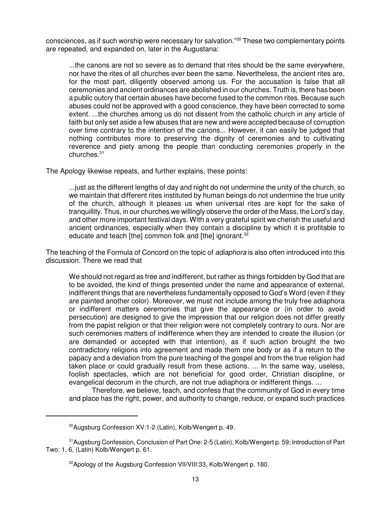consciences, as if such worship were necessary for salvation."<sup>30</sup> These two complementary points are repeated, and expanded on, later in the Augustana:

...the canons are not so severe as to demand that rites should be the same everywhere, nor have the rites of all churches ever been the same. Nevertheless, the ancient rites are, for the most part, diligently observed among us. For the accusation is false that all ceremonies and ancient ordinances are abolished in our churches. Truth is, there has been a public outcry that certain abuses have become fused to the common rites. Because such abuses could not be approved with a good conscience, they have been corrected to some extent. ...the churches among us do not dissent from the catholic church in any article of faith but only set aside a few abuses that are new and were accepted because of corruption over time contrary to the intention of the canons... However, it can easily be judged that nothing contributes more to preserving the dignity of ceremonies and to cultivating reverence and piety among the people than conducting ceremonies properly in the churches.<sup>31</sup>

The Apology likewise repeats, and further explains, these points:

...just as the different lengths of day and night do not undermine the unity of the church, so we maintain that different rites instituted by human beings do not undermine the true unity of the church, although it pleases us when universal rites are kept for the sake of tranquillity. Thus, in our churches we willingly observe the order of the Mass, the Lord's day, and other more important festival days. With a very grateful spirit we cherish the useful and ancient ordinances, especially when they contain a discipline by which it is profitable to educate and teach [the] common folk and [the] ignorant.<sup>32</sup>

The teaching of the Formula of Concord on the topic of *adiaphora* is also often introduced into this discussion. There we read that

We should not regard as free and indifferent, but rather as things forbidden by God that are to be avoided, the kind of things presented under the name and appearance of external, indifferent things that are nevertheless fundamentally opposed to God's Word (even if they are painted another color). Moreover, we must not include among the truly free adiaphora or indifferent matters ceremonies that give the appearance or (in order to avoid persecution) are designed to give the impression that our religion does not differ greatly from the papist religion or that their religion were not completely contrary to ours. Nor are such ceremonies matters of indifference when they are intended to create the illusion (or are demanded or accepted with that intention), as if such action brought the two contradictory religions into agreement and made them one body or as if a return to the papacy and a deviation from the pure teaching of the gospel and from the true religion had taken place or could gradually result from these actions. ... In the same way, useless, foolish spectacles, which are not beneficial for good order, Christian discipline, or evangelical decorum in the church, are not true adiaphora or indifferent things. ...

Therefore, we believe, teach, and confess that the community of God in every time and place has the right, power, and authority to change, reduce, or expand such practices

<sup>30</sup>Augsburg Confession XV:1-2 (Latin), Kolb/Wengert p. 49.

<sup>31</sup>Augsburg Confession, Conclusion of Part One: 2-5 (Latin), Kolb/Wengert p. 59; Introduction of Part Two: 1, 6, (Latin) Kolb/Wengert p. 61.

<sup>&</sup>lt;sup>32</sup>Apology of the Augsburg Confession VII/VIII:33, Kolb/Wengert p. 180.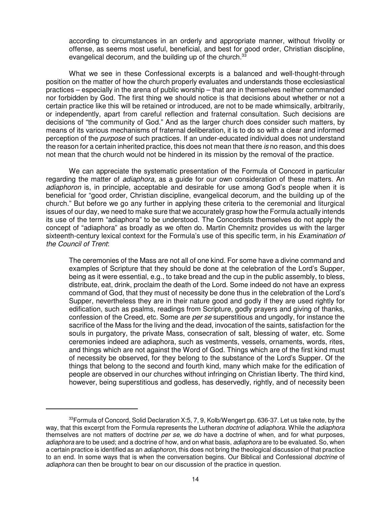according to circumstances in an orderly and appropriate manner, without frivolity or offense, as seems most useful, beneficial, and best for good order, Christian discipline, evangelical decorum, and the building up of the church.<sup>33</sup>

What we see in these Confessional excerpts is a balanced and well-thought-through position on the matter of how the church properly evaluates and understands those ecclesiastical practices – especially in the arena of public worship – that are in themselves neither commanded nor forbidden by God. The first thing we should notice is that decisions about whether or not a certain practice like this will be retained or introduced, are not to be made whimsically, arbitrarily, or independently, apart from careful reflection and fraternal consultation. Such decisions are decisions of "the community of God." And as the larger church does consider such matters, by means of its various mechanisms of fraternal deliberation, it is to do so with a clear and informed perception of the purpose of such practices. If an under-educated individual does not understand the reason for a certain inherited practice, this does not mean that there is no reason, and this does not mean that the church would not be hindered in its mission by the removal of the practice.

We can appreciate the systematic presentation of the Formula of Concord in particular regarding the matter of *adiaphora*, as a guide for our own consideration of these matters. An adiaphoron is, in principle, acceptable and desirable for use among God's people when it is beneficial for "good order, Christian discipline, evangelical decorum, and the building up of the church." But before we go any further in applying these criteria to the ceremonial and liturgical issues of our day, we need to make sure that we accurately grasp how the Formula actually intends its use of the term "adiaphora" to be understood. The Concordists themselves do not apply the concept of "adiaphora" as broadly as we often do. Martin Chemnitz provides us with the larger sixteenth-century lexical context for the Formula's use of this specific term, in his *Examination of* the Council of Trent:

The ceremonies of the Mass are not all of one kind. For some have a divine command and examples of Scripture that they should be done at the celebration of the Lord's Supper, being as it were essential, e.g., to take bread and the cup in the public assembly, to bless, distribute, eat, drink, proclaim the death of the Lord. Some indeed do not have an express command of God, that they must of necessity be done thus in the celebration of the Lord's Supper, nevertheless they are in their nature good and godly if they are used rightly for edification, such as psalms, readings from Scripture, godly prayers and giving of thanks, confession of the Creed, etc. Some are *per se* superstitious and ungodly, for instance the sacrifice of the Mass for the living and the dead, invocation of the saints, satisfaction for the souls in purgatory, the private Mass, consecration of salt, blessing of water, etc. Some ceremonies indeed are adiaphora, such as vestments, vessels, ornaments, words, rites, and things which are not against the Word of God. Things which are of the first kind must of necessity be observed, for they belong to the substance of the Lord's Supper. Of the things that belong to the second and fourth kind, many which make for the edification of people are observed in our churches without infringing on Christian liberty. The third kind, however, being superstitious and godless, has deservedly, rightly, and of necessity been

<sup>&</sup>lt;sup>33</sup>Formula of Concord, Solid Declaration X:5, 7, 9, Kolb/Wengert pp. 636-37. Let us take note, by the way, that this excerpt from the Formula represents the Lutheran *doctrine* of adiaphora. While the adiaphora themselves are not matters of doctrine per se, we do have a doctrine of when, and for what purposes, adiaphora are to be used; and a doctrine of how, and on what basis, adiaphora are to be evaluated. So, when a certain practice is identified as an adiaphoron, this does not bring the theological discussion of that practice to an end. In some ways that is when the conversation begins. Our Biblical and Confessional doctrine of adiaphora can then be brought to bear on our discussion of the practice in question.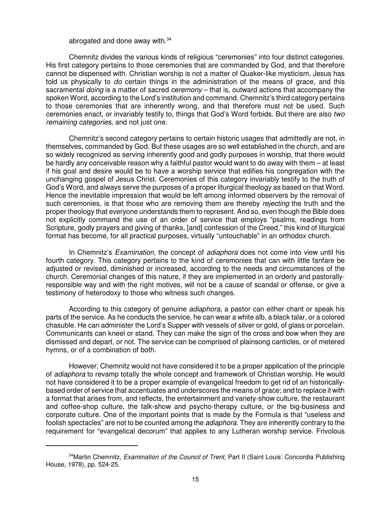abrogated and done away with.<sup>34</sup>

Chemnitz divides the various kinds of religious "ceremonies" into four distinct categories. His first category pertains to those ceremonies that are commanded by God, and that therefore cannot be dispensed with. Christian worship is not a matter of Quaker-like mysticism. Jesus has told us physically to do certain things in the administration of the means of grace, and this sacramental *doing* is a matter of sacred *ceremony* – that is, outward actions that accompany the spoken Word, according to the Lord's institution and command. Chemnitz's third category pertains to those ceremonies that are inherently wrong, and that therefore must not be used. Such ceremonies enact, or invariably testify to, things that God's Word forbids. But there are also two remaining categories, and not just one.

Chemnitz's second category pertains to certain historic usages that admittedly are not, in themselves, commanded by God. But these usages are so well established in the church, and are so widely recognized as serving inherently good and godly purposes in worship, that there would be hardly any conceivable reason why a faithful pastor would want to do away with them – at least if his goal and desire would be to have a worship service that edifies his congregation with the unchanging gospel of Jesus Christ. Ceremonies of this category invariably testify to the truth of God's Word, and always serve the purposes of a proper liturgical theology as based on that Word. Hence the inevitable impression that would be left among informed observers by the removal of such ceremonies, is that those who are removing them are thereby rejecting the truth and the proper theology that everyone understands them to represent. And so, even though the Bible does not explicitly command the use of an order of service that employs "psalms, readings from Scripture, godly prayers and giving of thanks, [and] confession of the Creed," this kind of liturgical format has become, for all practical purposes, virtually "untouchable" in an orthodox church.

In Chemnitz's *Examination*, the concept of *adiaphora* does not come into view until his fourth category. This category pertains to the kind of ceremonies that can with little fanfare be adjusted or revised, diminished or increased, according to the needs and circumstances of the church. Ceremonial changes of this nature, if they are implemented in an orderly and pastorallyresponsible way and with the right motives, will not be a cause of scandal or offense, or give a testimony of heterodoxy to those who witness such changes.

According to this category of genuine *adiaphora*, a pastor can either chant or speak his parts of the service. As he conducts the service, he can wear a white alb, a black talar, or a colored chasuble. He can administer the Lord's Supper with vessels of silver or gold, of glass or porcelain. Communicants can kneel or stand. They can make the sign of the cross and bow when they are dismissed and depart, or not. The service can be comprised of plainsong canticles, or of metered hymns, or of a combination of both.

However, Chemnitz would not have considered it to be a proper application of the principle of adiaphora to revamp totally the whole concept and framework of Christian worship. He would not have considered it to be a proper example of evangelical freedom to get rid of an historicallybased order of service that accentuates and underscores the means of grace; and to replace it with a format that arises from, and reflects, the entertainment and variety-show culture, the restaurant and coffee-shop culture, the talk-show and psycho-therapy culture, or the big-business and corporate culture. One of the important points that is made by the Formula is that "useless and foolish spectacles" are not to be counted among the *adiaphora*. They are inherently contrary to the requirement for "evangelical decorum" that applies to any Lutheran worship service. Frivolous

<sup>&</sup>lt;sup>34</sup>Martin Chemnitz, Examination of the Council of Trent, Part II (Saint Louis: Concordia Publishing House, 1978), pp. 524-25.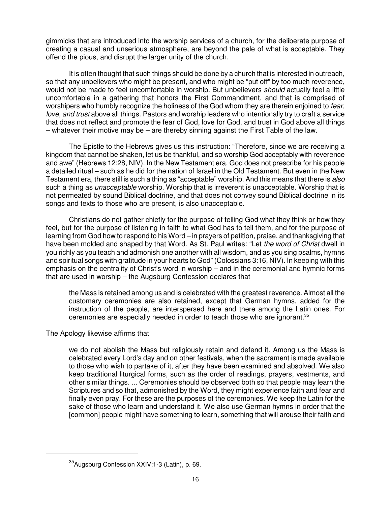gimmicks that are introduced into the worship services of a church, for the deliberate purpose of creating a casual and unserious atmosphere, are beyond the pale of what is acceptable. They offend the pious, and disrupt the larger unity of the church.

It is often thought that such things should be done by a church that is interested in outreach, so that any unbelievers who might be present, and who might be "put off" by too much reverence, would not be made to feel uncomfortable in worship. But unbelievers should actually feel a little uncomfortable in a gathering that honors the First Commandment, and that is comprised of worshipers who humbly recognize the holiness of the God whom they are therein enjoined to fear, love, and trust above all things. Pastors and worship leaders who intentionally try to craft a service that does not reflect and promote the fear of God, love for God, and trust in God above all things – whatever their motive may be – are thereby sinning against the First Table of the law.

The Epistle to the Hebrews gives us this instruction: "Therefore, since we are receiving a kingdom that cannot be shaken, let us be thankful, and so worship God acceptably with reverence and awe" (Hebrews 12:28, NIV). In the New Testament era, God does not prescribe for his people a detailed ritual – such as he did for the nation of Israel in the Old Testament. But even in the New Testament era, there still is such a thing as "acceptable" worship. And this means that there is also such a thing as *unacceptable* worship. Worship that is irreverent is unacceptable. Worship that is not permeated by sound Biblical doctrine, and that does not convey sound Biblical doctrine in its songs and texts to those who are present, is also unacceptable.

Christians do not gather chiefly for the purpose of telling God what they think or how they feel, but for the purpose of listening in faith to what God has to tell them, and for the purpose of learning from God how to respond to his Word – in prayers of petition, praise, and thanksgiving that have been molded and shaped by that Word. As St. Paul writes: "Let the word of Christ dwell in you richly as you teach and admonish one another with all wisdom, and as you sing psalms, hymns and spiritual songs with gratitude in your hearts to God" (Colossians 3:16, NIV). In keeping with this emphasis on the centrality of Christ's word in worship – and in the ceremonial and hymnic forms that are used in worship – the Augsburg Confession declares that

the Mass is retained among us and is celebrated with the greatest reverence. Almost all the customary ceremonies are also retained, except that German hymns, added for the instruction of the people, are interspersed here and there among the Latin ones. For ceremonies are especially needed in order to teach those who are ignorant.<sup>35</sup>

The Apology likewise affirms that

we do not abolish the Mass but religiously retain and defend it. Among us the Mass is celebrated every Lord's day and on other festivals, when the sacrament is made available to those who wish to partake of it, after they have been examined and absolved. We also keep traditional liturgical forms, such as the order of readings, prayers, vestments, and other similar things. ... Ceremonies should be observed both so that people may learn the Scriptures and so that, admonished by the Word, they might experience faith and fear and finally even pray. For these are the purposes of the ceremonies. We keep the Latin for the sake of those who learn and understand it. We also use German hymns in order that the [common] people might have something to learn, something that will arouse their faith and

<sup>35</sup>Augsburg Confession XXIV:1-3 (Latin), p. 69.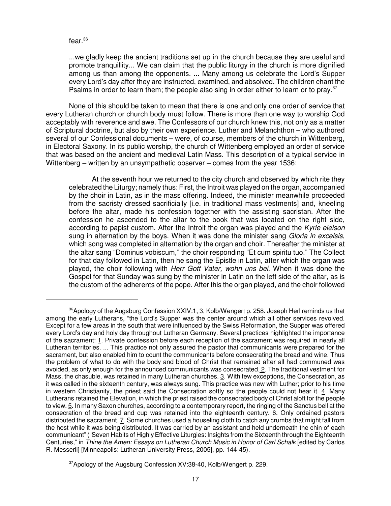# fear.<sup>36</sup>

...we gladly keep the ancient traditions set up in the church because they are useful and promote tranquillity... We can claim that the public liturgy in the church is more dignified among us than among the opponents. ... Many among us celebrate the Lord's Supper every Lord's day after they are instructed, examined, and absolved. The children chant the Psalms in order to learn them; the people also sing in order either to learn or to pray.<sup>37</sup>

None of this should be taken to mean that there is one and only one order of service that every Lutheran church or church body must follow. There is more than one way to worship God acceptably with reverence and awe. The Confessors of our church knew this, not only as a matter of Scriptural doctrine, but also by their own experience. Luther and Melanchthon – who authored several of our Confessional documents – were, of course, members of the church in Wittenberg, in Electoral Saxony. In its public worship, the church of Wittenberg employed an order of service that was based on the ancient and medieval Latin Mass. This description of a typical service in Wittenberg – written by an unsympathetic observer – comes from the year 1536:

At the seventh hour we returned to the city church and observed by which rite they celebrated the Liturgy; namely thus: First, the Introit was played on the organ, accompanied by the choir in Latin, as in the mass offering. Indeed, the minister meanwhile proceeded from the sacristy dressed sacrificially [i.e. in traditional mass vestments] and, kneeling before the altar, made his confession together with the assisting sacristan. After the confession he ascended to the altar to the book that was located on the right side, according to papist custom. After the Introit the organ was played and the Kyrie eleison sung in alternation by the boys. When it was done the minister sang *Gloria in excelsis*, which song was completed in alternation by the organ and choir. Thereafter the minister at the altar sang "Dominus vobiscum," the choir responding "Et cum spiritu tuo." The Collect for that day followed in Latin, then he sang the Epistle in Latin, after which the organ was played, the choir following with Herr Gott Vater, wohn uns bei. When it was done the Gospel for that Sunday was sung by the minister in Latin on the left side of the altar, as is the custom of the adherents of the pope. After this the organ played, and the choir followed

 $36$ Apology of the Augsburg Confession XXIV:1, 3, Kolb/Wengert p. 258. Joseph Herl reminds us that among the early Lutherans, "the Lord's Supper was the center around which all other services revolved. Except for a few areas in the south that were influenced by the Swiss Reformation, the Supper was offered every Lord's day and holy day throughout Lutheran Germany. Several practices highlighted the importance of the sacrament: 1. Private confession before each reception of the sacrament was required in nearly all Lutheran territories. ... This practice not only assured the pastor that communicants were prepared for the sacrament, but also enabled him to count the communicants before consecrating the bread and wine. Thus the problem of what to do with the body and blood of Christ that remained after all had communed was avoided, as only enough for the announced communicants was consecrated. 2. The traditional vestment for Mass, the chasuble, was retained in many Lutheran churches. 3. With few exceptions, the Consecration, as it was called in the sixteenth century, was always sung. This practice was new with Luther; prior to his time in western Christianity, the priest said the Consecration softly so the people could not hear it. 4. Many Lutherans retained the Elevation, in which the priest raised the consecrated body of Christ aloft for the people to view. 5. In many Saxon churches, according to a contemporary report, the ringing of the Sanctus bell at the consecration of the bread and cup was retained into the eighteenth century. 6. Only ordained pastors distributed the sacrament. 7. Some churches used a houseling cloth to catch any crumbs that might fall from the host while it was being distributed. It was carried by an assistant and held underneath the chin of each communicant" ("Seven Habits of Highly Effective Liturgies: Insights from the Sixteenth through the Eighteenth Centuries," in Thine the Amen: Essays on Lutheran Church Music in Honor of Carl Schalk [edited by Carlos R. Messerli] [Minneapolis: Lutheran University Press, 2005], pp. 144-45).

<sup>&</sup>lt;sup>37</sup>Apology of the Augsburg Confession XV:38-40, Kolb/Wengert p. 229.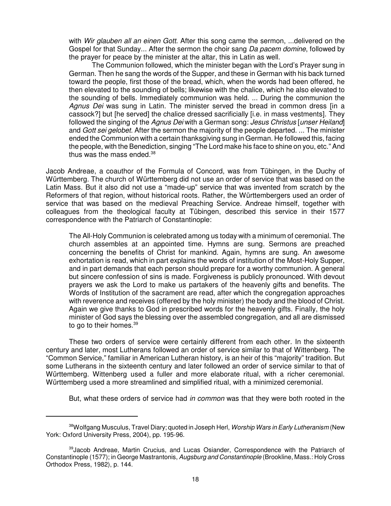with Wir glauben all an einen Gott. After this song came the sermon, ...delivered on the Gospel for that Sunday... After the sermon the choir sang *Da pacem domine*, followed by the prayer for peace by the minister at the altar, this in Latin as well.

The Communion followed, which the minister began with the Lord's Prayer sung in German. Then he sang the words of the Supper, and these in German with his back turned toward the people, first those of the bread, which, when the words had been offered, he then elevated to the sounding of bells; likewise with the chalice, which he also elevated to the sounding of bells. Immediately communion was held. ... During the communion the Agnus Dei was sung in Latin. The minister served the bread in common dress [in a cassock?] but [he served] the chalice dressed sacrificially [i.e. in mass vestments]. They followed the singing of the Agnus Dei with a German song: Jesus Christus [unser Heiland] and Gott sei gelobet. After the sermon the majority of the people departed. ... The minister ended the Communion with a certain thanksgiving sung in German. He followed this, facing the people, with the Benediction, singing "The Lord make his face to shine on you, etc." And thus was the mass ended. $38$ 

Jacob Andreae, a coauthor of the Formula of Concord, was from Tübingen, in the Duchy of Württemberg. The church of Württemberg did not use an order of service that was based on the Latin Mass. But it also did not use a "made-up" service that was invented from scratch by the Reformers of that region, without historical roots. Rather, the Württembergers used an order of service that was based on the medieval Preaching Service. Andreae himself, together with colleagues from the theological faculty at Tübingen, described this service in their 1577 correspondence with the Patriarch of Constantinople:

The All-Holy Communion is celebrated among us today with a minimum of ceremonial. The church assembles at an appointed time. Hymns are sung. Sermons are preached concerning the benefits of Christ for mankind. Again, hymns are sung. An awesome exhortation is read, which in part explains the words of institution of the Most-Holy Supper, and in part demands that each person should prepare for a worthy communion. A general but sincere confession of sins is made. Forgiveness is publicly pronounced. With devout prayers we ask the Lord to make us partakers of the heavenly gifts and benefits. The Words of Institution of the sacrament are read, after which the congregation approaches with reverence and receives (offered by the holy minister) the body and the blood of Christ. Again we give thanks to God in prescribed words for the heavenly gifts. Finally, the holy minister of God says the blessing over the assembled congregation, and all are dismissed to go to their homes.<sup>39</sup>

These two orders of service were certainly different from each other. In the sixteenth century and later, most Lutherans followed an order of service similar to that of Wittenberg. The "Common Service," familiar in American Lutheran history, is an heir of this "majority" tradition. But some Lutherans in the sixteenth century and later followed an order of service similar to that of Württemberg. Wittenberg used a fuller and more elaborate ritual, with a richer ceremonial. Württemberg used a more streamlined and simplified ritual, with a minimized ceremonial.

But, what these orders of service had in common was that they were both rooted in the

<sup>&</sup>lt;sup>38</sup>Wolfgang Musculus, Travel Diary; quoted in Joseph Herl, *Worship Wars in Early Lutheranism* (New York: Oxford University Press, 2004), pp. 195-96.

<sup>&</sup>lt;sup>39</sup> Jacob Andreae, Martin Crucius, and Lucas Osiander, Correspondence with the Patriarch of Constantinople (1577); in George Mastrantonis, Augsburg and Constantinople (Brookline, Mass.: Holy Cross Orthodox Press, 1982), p. 144.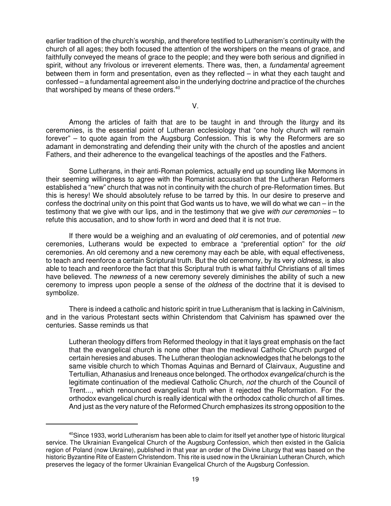earlier tradition of the church's worship, and therefore testified to Lutheranism's continuity with the church of all ages; they both focused the attention of the worshipers on the means of grace, and faithfully conveyed the means of grace to the people; and they were both serious and dignified in spirit, without any frivolous or irreverent elements. There was, then, a *fundamental* agreement between them in form and presentation, even as they reflected – in what they each taught and confessed – a fundamental agreement also in the underlying doctrine and practice of the churches that worshiped by means of these orders.<sup>40</sup>

V.

Among the articles of faith that are to be taught in and through the liturgy and its ceremonies, is the essential point of Lutheran ecclesiology that "one holy church will remain forever" – to quote again from the Augsburg Confession. This is why the Reformers are so adamant in demonstrating and defending their unity with the church of the apostles and ancient Fathers, and their adherence to the evangelical teachings of the apostles and the Fathers.

Some Lutherans, in their anti-Roman polemics, actually end up sounding like Mormons in their seeming willingness to agree with the Romanist accusation that the Lutheran Reformers established a "new" church that was not in continuity with the church of pre-Reformation times. But this is heresy! We should absolutely refuse to be tarred by this. In our desire to preserve and confess the doctrinal unity on this point that God wants us to have, we will do what we can  $-$  in the testimony that we give with our lips, and in the testimony that we give with our ceremonies – to refute this accusation, and to show forth in word and deed that it is not true.

If there would be a weighing and an evaluating of old ceremonies, and of potential new ceremonies, Lutherans would be expected to embrace a "preferential option" for the old ceremonies. An old ceremony and a new ceremony may each be able, with equal effectiveness, to teach and reenforce a certain Scriptural truth. But the old ceremony, by its very *oldness*, is also able to teach and reenforce the fact that this Scriptural truth is what faithful Christians of all times have believed. The *newness* of a new ceremony severely diminishes the ability of such a new ceremony to impress upon people a sense of the oldness of the doctrine that it is devised to symbolize.

There is indeed a catholic and historic spirit in true Lutheranism that is lacking in Calvinism, and in the various Protestant sects within Christendom that Calvinism has spawned over the centuries. Sasse reminds us that

Lutheran theology differs from Reformed theology in that it lays great emphasis on the fact that the evangelical church is none other than the medieval Catholic Church purged of certain heresies and abuses. The Lutheran theologian acknowledges that he belongs to the same visible church to which Thomas Aquinas and Bernard of Clairvaux, Augustine and Tertullian, Athanasius and Ireneaus once belonged. The orthodox evangelical church is the legitimate continuation of the medieval Catholic Church, not the church of the Council of Trent..., which renounced evangelical truth when it rejected the Reformation. For the orthodox evangelical church is really identical with the orthodox catholic church of all times. And just as the very nature of the Reformed Church emphasizes its strong opposition to the

 $40$ Since 1933, world Lutheranism has been able to claim for itself yet another type of historic liturgical service. The Ukrainian Evangelical Church of the Augsburg Confession, which then existed in the Galicia region of Poland (now Ukraine), published in that year an order of the Divine Liturgy that was based on the historic Byzantine Rite of Eastern Christendom. This rite is used now in the Ukrainian Lutheran Church, which preserves the legacy of the former Ukrainian Evangelical Church of the Augsburg Confession.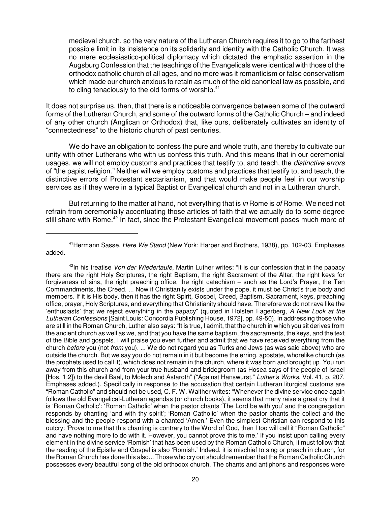medieval church, so the very nature of the Lutheran Church requires it to go to the farthest possible limit in its insistence on its solidarity and identity with the Catholic Church. It was no mere ecclesiastico-political diplomacy which dictated the emphatic assertion in the Augsburg Confession that the teachings of the Evangelicals were identical with those of the orthodox catholic church of all ages, and no more was it romanticism or false conservatism which made our church anxious to retain as much of the old canonical law as possible, and to cling tenaciously to the old forms of worship.<sup>41</sup>

It does not surprise us, then, that there is a noticeable convergence between some of the outward forms of the Lutheran Church, and some of the outward forms of the Catholic Church – and indeed of any other church (Anglican or Orthodox) that, like ours, deliberately cultivates an identity of "connectedness" to the historic church of past centuries.

We do have an obligation to confess the pure and whole truth, and thereby to cultivate our unity with other Lutherans who with us confess this truth. And this means that in our ceremonial usages, we will not employ customs and practices that testify to, and teach, the *distinctive errors* of "the papist religion." Neither will we employ customs and practices that testify to, and teach, the distinctive errors of Protestant sectarianism, and that would make people feel in our worship services as if they were in a typical Baptist or Evangelical church and not in a Lutheran church.

But returning to the matter at hand, not everything that is in Rome is of Rome. We need not refrain from ceremonially accentuating those articles of faith that we actually do to some degree still share with Rome.<sup>42</sup> In fact, since the Protestant Evangelical movement poses much more of

<sup>&</sup>lt;sup>41</sup> Hermann Sasse, Here We Stand (New York: Harper and Brothers, 1938), pp. 102-03. Emphases added.

 $42$ In his treatise Von der Wiedertaufe, Martin Luther writes: "It is our confession that in the papacy there are the right Holy Scriptures, the right Baptism, the right Sacrament of the Altar, the right keys for forgiveness of sins, the right preaching office, the right catechism – such as the Lord's Prayer, the Ten Commandments, the Creed. ... Now if Christianity exists under the pope, it must be Christ's true body and members. If it is His body, then it has the right Spirit, Gospel, Creed, Baptism, Sacrament, keys, preaching office, prayer, Holy Scriptures, and everything that Christianity should have. Therefore we do not rave like the 'enthusiasts' that we reject everything in the papacy" (quoted in Holsten Fagerberg, A New Look at the Lutheran Confessions [Saint Louis: Concordia Publishing House, 1972], pp. 49-50). In addressing those who are still in the Roman Church, Luther also says: "It is true, I admit, that the church in which you sit derives from the ancient church as well as we, and that you have the same baptism, the sacraments, the keys, and the text of the Bible and gospels. I will praise you even further and admit that we have received everything from the church before you (not from you). ... We do not regard you as Turks and Jews (as was said above) who are outside the church. But we say you do not remain in it but become the erring, apostate, whorelike church (as the prophets used to call it), which does not remain in the church, where it was born and brought up. You run away from this church and from your true husband and bridegroom (as Hosea says of the people of Israel [Hos. 1:2]) to the devil Baal, to Molech and Astaroth" ("Against Hanswurst," Luther's Works, Vol. 41, p. 207. Emphases added.). Specifically in response to the accusation that certain Lutheran liturgical customs are "Roman Catholic" and should not be used, C. F. W. Walther writes: "Whenever the divine service once again follows the old Evangelical-Lutheran agendas (or church books), it seems that many raise a great cry that it is 'Roman Catholic': 'Roman Catholic' when the pastor chants 'The Lord be with you' and the congregation responds by chanting 'and with thy spirit'; 'Roman Catholic' when the pastor chants the collect and the blessing and the people respond with a chanted 'Amen.' Even the simplest Christian can respond to this outcry: 'Prove to me that this chanting is contrary to the Word of God, then I too will call it "Roman Catholic" and have nothing more to do with it. However, you cannot prove this to me.' If you insist upon calling every element in the divine service 'Romish' that has been used by the Roman Catholic Church, it must follow that the reading of the Epistle and Gospel is also 'Romish.' Indeed, it is mischief to sing or preach in church, for the Roman Church has done this also... Those who cry out should remember that the Roman Catholic Church possesses every beautiful song of the old orthodox church. The chants and antiphons and responses were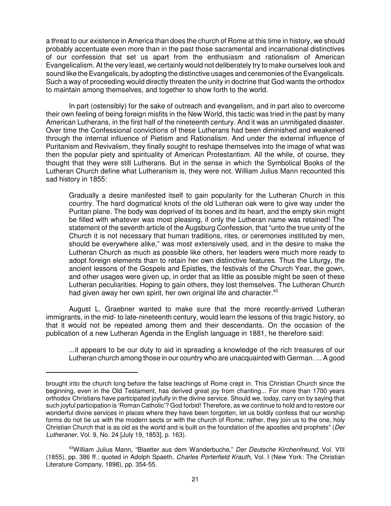a threat to our existence in America than does the church of Rome at this time in history, we should probably accentuate even more than in the past those sacramental and incarnational distinctives of our confession that set us apart from the enthusiasm and rationalism of American Evangelicalism. At the very least, we certainly would not deliberately try to make ourselves look and sound like the Evangelicals, by adopting the distinctive usages and ceremonies of the Evangelicals. Such a way of proceeding would directly threaten the unity in doctrine that God wants the orthodox to maintain among themselves, and together to show forth to the world.

In part (ostensibly) for the sake of outreach and evangelism, and in part also to overcome their own feeling of being foreign misfits in the New World, this tactic was tried in the past by many American Lutherans, in the first half of the nineteenth century. And it was an unmitigated disaster. Over time the Confessional convictions of these Lutherans had been diminished and weakened through the internal influence of Pietism and Rationalism. And under the external influence of Puritanism and Revivalism, they finally sought to reshape themselves into the image of what was then the popular piety and spirituality of American Protestantism. All the while, of course, they thought that they were still Lutherans. But in the sense in which the Symbolical Books of the Lutheran Church define what Lutheranism is, they were not. William Julius Mann recounted this sad history in 1855:

Gradually a desire manifested itself to gain popularity for the Lutheran Church in this country. The hard dogmatical knots of the old Lutheran oak were to give way under the Puritan plane. The body was deprived of its bones and its heart, and the empty skin might be filled with whatever was most pleasing, if only the Lutheran name was retained! The statement of the seventh article of the Augsburg Confession, that "unto the true unity of the Church it is not necessary that human traditions, rites, or ceremonies instituted by men, should be everywhere alike," was most extensively used, and in the desire to make the Lutheran Church as much as possible like others, her leaders were much more ready to adopt foreign elements than to retain her own distinctive features. Thus the Liturgy, the ancient lessons of the Gospels and Epistles, the festivals of the Church Year, the gown, and other usages were given up, in order that as little as possible might be seen of these Lutheran peculiarities. Hoping to gain others, they lost themselves. The Lutheran Church had given away her own spirit, her own original life and character.<sup>43</sup>

August L. Graebner wanted to make sure that the more recently-arrived Lutheran immigrants, in the mid- to late-nineteenth century, would learn the lessons of this tragic history, so that it would not be repeated among them and their descendants. On the occasion of the publication of a new Lutheran Agenda in the English language in 1881, he therefore said:

...it appears to be our duty to aid in spreading a knowledge of the rich treasures of our Lutheran church among those in our country who are unacquainted with German. ... A good

brought into the church long before the false teachings of Rome crept in. This Christian Church since the beginning, even in the Old Testament, has derived great joy from chanting... For more than 1700 years orthodox Christians have participated joyfully in the divine service. Should we, today, carry on by saying that such joyful participation is 'Roman Catholic'? God forbid! Therefore, as we continue to hold and to restore our wonderful divine services in places where they have been forgotten, let us boldly confess that our worship forms do not tie us with the modern sects or with the church of Rome; rather, they join us to the one, holy Christian Church that is as old as the world and is built on the foundation of the apostles and prophets" (Der Lutheraner, Vol. 9, No. 24 [July 19, 1853], p. 163).

<sup>43</sup>William Julius Mann, "Blaetter aus dem Wanderbuche," Der Deutsche Kirchenfreund, Vol. VIII (1855), pp. 386 ff.; quoted in Adolph Spaeth, Charles Porterfield Krauth, Vol. I (New York: The Christian Literature Company, 1898), pp. 354-55.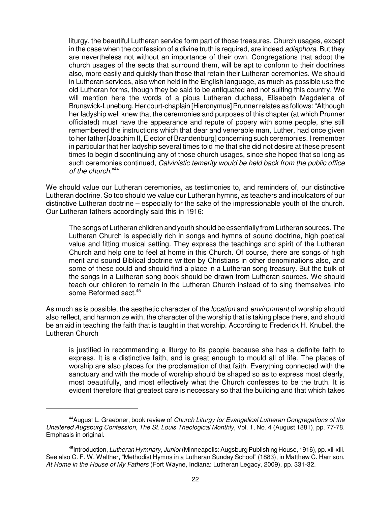liturgy, the beautiful Lutheran service form part of those treasures. Church usages, except in the case when the confession of a divine truth is required, are indeed *adiaphora*. But they are nevertheless not without an importance of their own. Congregations that adopt the church usages of the sects that surround them, will be apt to conform to their doctrines also, more easily and quickly than those that retain their Lutheran ceremonies. We should in Lutheran services, also when held in the English language, as much as possible use the old Lutheran forms, though they be said to be antiquated and not suiting this country. We will mention here the words of a pious Lutheran duchess, Elisabeth Magdalena of Brunswick-Luneburg. Her court-chaplain [Hieronymus] Prunner relates as follows: "Although her ladyship well knew that the ceremonies and purposes of this chapter (at which Prunner officiated) must have the appearance and repute of popery with some people, she still remembered the instructions which that dear and venerable man, Luther, had once given to her father [Joachim II, Elector of Brandenburg] concerning such ceremonies. I remember in particular that her ladyship several times told me that she did not desire at these present times to begin discontinuing any of those church usages, since she hoped that so long as such ceremonies continued, Calvinistic temerity would be held back from the public office of the church."<sup>44</sup>

We should value our Lutheran ceremonies, as testimonies to, and reminders of, our distinctive Lutheran doctrine. So too should we value our Lutheran hymns, as teachers and inculcators of our distinctive Lutheran doctrine – especially for the sake of the impressionable youth of the church. Our Lutheran fathers accordingly said this in 1916:

The songs of Lutheran children and youth should be essentially from Lutheran sources. The Lutheran Church is especially rich in songs and hymns of sound doctrine, high poetical value and fitting musical setting. They express the teachings and spirit of the Lutheran Church and help one to feel at home in this Church. Of course, there are songs of high merit and sound Biblical doctrine written by Christians in other denominations also, and some of these could and should find a place in a Lutheran song treasury. But the bulk of the songs in a Lutheran song book should be drawn from Lutheran sources. We should teach our children to remain in the Lutheran Church instead of to sing themselves into some Reformed sect.<sup>45</sup>

As much as is possible, the aesthetic character of the *location* and *environment* of worship should also reflect, and harmonize with, the character of the worship that is taking place there, and should be an aid in teaching the faith that is taught in that worship. According to Frederick H. Knubel, the Lutheran Church

is justified in recommending a liturgy to its people because she has a definite faith to express. It is a distinctive faith, and is great enough to mould all of life. The places of worship are also places for the proclamation of that faith. Everything connected with the sanctuary and with the mode of worship should be shaped so as to express most clearly, most beautifully, and most effectively what the Church confesses to be the truth. It is evident therefore that greatest care is necessary so that the building and that which takes

<sup>&</sup>lt;sup>44</sup>August L. Graebner, book review of *Church Liturgy for Evangelical Lutheran Congregations of the* Unaltered Augsburg Confession, The St. Louis Theological Monthly, Vol. 1, No. 4 (August 1881), pp. 77-78. Emphasis in original.

<sup>45</sup>Introduction, Lutheran Hymnary, Junior (Minneapolis: Augsburg Publishing House, 1916), pp. xii-xiii. See also C. F. W. Walther, "Methodist Hymns in a Lutheran Sunday School" (1883), in Matthew C. Harrison, At Home in the House of My Fathers (Fort Wayne, Indiana: Lutheran Legacy, 2009), pp. 331-32.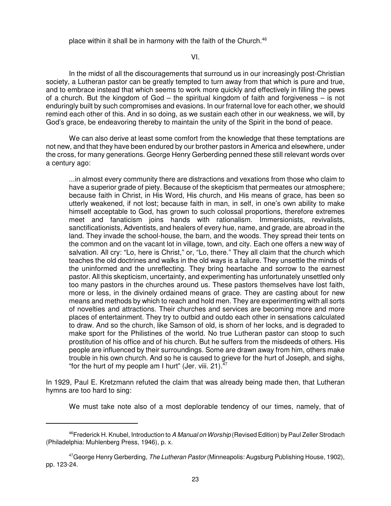place within it shall be in harmony with the faith of the Church.<sup>46</sup>

VI.

In the midst of all the discouragements that surround us in our increasingly post-Christian society, a Lutheran pastor can be greatly tempted to turn away from that which is pure and true, and to embrace instead that which seems to work more quickly and effectively in filling the pews of a church. But the kingdom of God – the spiritual kingdom of faith and forgiveness – is not enduringly built by such compromises and evasions. In our fraternal love for each other, we should remind each other of this. And in so doing, as we sustain each other in our weakness, we will, by God's grace, be endeavoring thereby to maintain the unity of the Spirit in the bond of peace.

We can also derive at least some comfort from the knowledge that these temptations are not new, and that they have been endured by our brother pastors in America and elsewhere, under the cross, for many generations. George Henry Gerberding penned these still relevant words over a century ago:

...in almost every community there are distractions and vexations from those who claim to have a superior grade of piety. Because of the skepticism that permeates our atmosphere; because faith in Christ, in His Word, His church, and His means of grace, has been so utterly weakened, if not lost; because faith in man, in self, in one's own ability to make himself acceptable to God, has grown to such colossal proportions, therefore extremes meet and fanaticism joins hands with rationalism. Immersionists, revivalists, sanctificationists, Adventists, and healers of every hue, name, and grade, are abroad in the land. They invade the school-house, the barn, and the woods. They spread their tents on the common and on the vacant lot in village, town, and city. Each one offers a new way of salvation. All cry: "Lo, here is Christ," or, "Lo, there." They all claim that the church which teaches the old doctrines and walks in the old ways is a failure. They unsettle the minds of the uninformed and the unreflecting. They bring heartache and sorrow to the earnest pastor. All this skepticism, uncertainty, and experimenting has unfortunately unsettled only too many pastors in the churches around us. These pastors themselves have lost faith, more or less, in the divinely ordained means of grace. They are casting about for new means and methods by which to reach and hold men. They are experimenting with all sorts of novelties and attractions. Their churches and services are becoming more and more places of entertainment. They try to outbid and outdo each other in sensations calculated to draw. And so the church, like Samson of old, is shorn of her locks, and is degraded to make sport for the Philistines of the world. No true Lutheran pastor can stoop to such prostitution of his office and of his church. But he suffers from the misdeeds of others. His people are influenced by their surroundings. Some are drawn away from him, others make trouble in his own church. And so he is caused to grieve for the hurt of Joseph, and sighs, "for the hurt of my people am I hurt" (Jer. viii. 21). $^{47}$ 

In 1929, Paul E. Kretzmann refuted the claim that was already being made then, that Lutheran hymns are too hard to sing:

We must take note also of a most deplorable tendency of our times, namely, that of

<sup>&</sup>lt;sup>46</sup>Frederick H. Knubel, Introduction to A Manual on Worship (Revised Edition) by Paul Zeller Strodach (Philadelphia: Muhlenberg Press, 1946), p. x.

<sup>&</sup>lt;sup>47</sup> George Henry Gerberding, The Lutheran Pastor (Minneapolis: Augsburg Publishing House, 1902), pp. 123-24.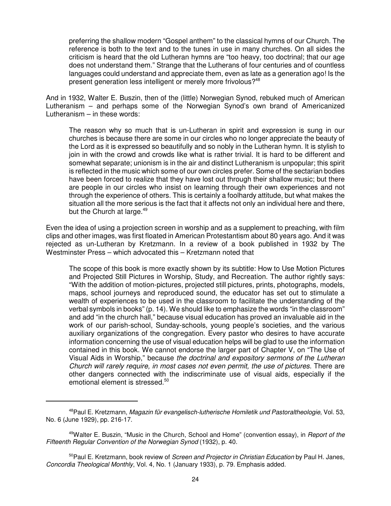preferring the shallow modern "Gospel anthem" to the classical hymns of our Church. The reference is both to the text and to the tunes in use in many churches. On all sides the criticism is heard that the old Lutheran hymns are "too heavy, too doctrinal; that our age does not understand them." Strange that the Lutherans of four centuries and of countless languages could understand and appreciate them, even as late as a generation ago! Is the present generation less intelligent or merely more frivolous?<sup>48</sup>

And in 1932, Walter E. Buszin, then of the (little) Norwegian Synod, rebuked much of American Lutheranism – and perhaps some of the Norwegian Synod's own brand of Americanized Lutheranism – in these words:

The reason why so much that is un-Lutheran in spirit and expression is sung in our churches is because there are some in our circles who no longer appreciate the beauty of the Lord as it is expressed so beautifully and so nobly in the Lutheran hymn. It is stylish to join in with the crowd and crowds like what is rather trivial. It is hard to be different and somewhat separate; unionism is in the air and distinct Lutheranism is unpopular; this spirit is reflected in the music which some of our own circles prefer. Some of the sectarian bodies have been forced to realize that they have lost out through their shallow music; but there are people in our circles who insist on learning through their own experiences and not through the experience of others. This is certainly a foolhardy attitude, but what makes the situation all the more serious is the fact that it affects not only an individual here and there, but the Church at large.<sup>49</sup>

Even the idea of using a projection screen in worship and as a supplement to preaching, with film clips and other images, was first floated in American Protestantism about 80 years ago. And it was rejected as un-Lutheran by Kretzmann. In a review of a book published in 1932 by The Westminster Press – which advocated this – Kretzmann noted that

The scope of this book is more exactly shown by its subtitle: How to Use Motion Pictures and Projected Still Pictures in Worship, Study, and Recreation. The author rightly says: "With the addition of motion-pictures, projected still pictures, prints, photographs, models, maps, school journeys and reproduced sound, the educator has set out to stimulate a wealth of experiences to be used in the classroom to facilitate the understanding of the verbal symbols in books" (p. 14). We should like to emphasize the words "in the classroom" and add "in the church hall," because visual education has proved an invaluable aid in the work of our parish-school, Sunday-schools, young people's societies, and the various auxiliary organizations of the congregation. Every pastor who desires to have accurate information concerning the use of visual education helps will be glad to use the information contained in this book. We cannot endorse the larger part of Chapter V, on "The Use of Visual Aids in Worship," because the doctrinal and expository sermons of the Lutheran Church will rarely require, in most cases not even permit, the use of pictures. There are other dangers connected with the indiscriminate use of visual aids, especially if the emotional element is stressed.<sup>50</sup>

<sup>48</sup>Paul E. Kretzmann, Magazin für evangelisch-lutherische Homiletik und Pastoraltheologie, Vol. 53, No. 6 (June 1929), pp. 216-17.

<sup>&</sup>lt;sup>49</sup>Walter E. Buszin, "Music in the Church, School and Home" (convention essay), in Report of the Fifteenth Regular Convention of the Norwegian Synod (1932), p. 40.

<sup>&</sup>lt;sup>50</sup>Paul E. Kretzmann, book review of *Screen and Projector in Christian Education* by Paul H. Janes, Concordia Theological Monthly, Vol. 4, No. 1 (January 1933), p. 79. Emphasis added.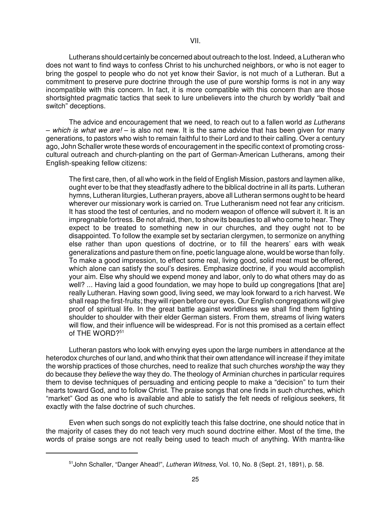Lutherans should certainly be concerned about outreach to the lost. Indeed, a Lutheran who does not want to find ways to confess Christ to his unchurched neighbors, or who is not eager to bring the gospel to people who do not yet know their Savior, is not much of a Lutheran. But a commitment to preserve pure doctrine through the use of pure worship forms is not in any way incompatible with this concern. In fact, it is more compatible with this concern than are those shortsighted pragmatic tactics that seek to lure unbelievers into the church by worldly "bait and switch" deceptions.

The advice and encouragement that we need, to reach out to a fallen world as Lutherans – which is what we are! – is also not new. It is the same advice that has been given for many generations, to pastors who wish to remain faithful to their Lord and to their calling. Over a century ago, John Schaller wrote these words of encouragement in the specific context of promoting crosscultural outreach and church-planting on the part of German-American Lutherans, among their English-speaking fellow citizens:

The first care, then, of all who work in the field of English Mission, pastors and laymen alike, ought ever to be that they steadfastly adhere to the biblical doctrine in all its parts. Lutheran hymns, Lutheran liturgies, Lutheran prayers, above all Lutheran sermons ought to be heard wherever our missionary work is carried on. True Lutheranism need not fear any criticism. It has stood the test of centuries, and no modern weapon of offence will subvert it. It is an impregnable fortress. Be not afraid, then, to show its beauties to all who come to hear. They expect to be treated to something new in our churches, and they ought not to be disappointed. To follow the example set by sectarian clergymen, to sermonize on anything else rather than upon questions of doctrine, or to fill the hearers' ears with weak generalizations and pasture them on fine, poetic language alone, would be worse than folly. To make a good impression, to effect some real, living good, solid meat must be offered, which alone can satisfy the soul's desires. Emphasize doctrine, if you would accomplish your aim. Else why should we expend money and labor, only to do what others may do as well? ... Having laid a good foundation, we may hope to build up congregations [that are] really Lutheran. Having sown good, living seed, we may look forward to a rich harvest. We shall reap the first-fruits; they will ripen before our eyes. Our English congregations will give proof of spiritual life. In the great battle against worldliness we shall find them fighting shoulder to shoulder with their elder German sisters. From them, streams of living waters will flow, and their influence will be widespread. For is not this promised as a certain effect of THE WORD?<sup>51</sup>

Lutheran pastors who look with envying eyes upon the large numbers in attendance at the heterodox churches of our land, and who think that their own attendance will increase if they imitate the worship practices of those churches, need to realize that such churches worship the way they do because they believe the way they do. The theology of Arminian churches in particular requires them to devise techniques of persuading and enticing people to make a "decision" to turn their hearts toward God, and to follow Christ. The praise songs that one finds in such churches, which "market" God as one who is available and able to satisfy the felt needs of religious seekers, fit exactly with the false doctrine of such churches.

Even when such songs do not explicitly teach this false doctrine, one should notice that in the majority of cases they do not teach very much sound doctrine either. Most of the time, the words of praise songs are not really being used to teach much of anything. With mantra-like

<sup>&</sup>lt;sup>51</sup> John Schaller, "Danger Ahead!", *Lutheran Witness*, Vol. 10, No. 8 (Sept. 21, 1891), p. 58.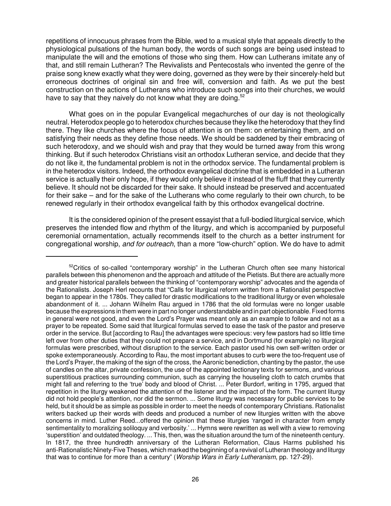repetitions of innocuous phrases from the Bible, wed to a musical style that appeals directly to the physiological pulsations of the human body, the words of such songs are being used instead to manipulate the will and the emotions of those who sing them. How can Lutherans imitate any of that, and still remain Lutheran? The Revivalists and Pentecostals who invented the genre of the praise song knew exactly what they were doing, governed as they were by their sincerely-held but erroneous doctrines of original sin and free will, conversion and faith. As we put the best construction on the actions of Lutherans who introduce such songs into their churches, we would have to say that they naively do not know what they are doing.<sup>52</sup>

What goes on in the popular Evangelical megachurches of our day is not theologically neutral. Heterodox people go to heterodox churches because they like the heterodoxy that they find there. They like churches where the focus of attention is on them: on entertaining them, and on satisfying their needs as they define those needs. We should be saddened by their embracing of such heterodoxy, and we should wish and pray that they would be turned away from this wrong thinking. But if such heterodox Christians visit an orthodox Lutheran service, and decide that they do not like it, the fundamental problem is not in the orthodox service. The fundamental problem is in the heterodox visitors. Indeed, the orthodox evangelical doctrine that is embedded in a Lutheran service is actually their only hope, if they would only believe it instead of the fluff that they currently believe. It should not be discarded for their sake. It should instead be preserved and accentuated for their sake – and for the sake of the Lutherans who come regularly to their own church, to be renewed regularly in their orthodox evangelical faith by this orthodox evangelical doctrine.

It is the considered opinion of the present essayist that a full-bodied liturgical service, which preserves the intended flow and rhythm of the liturgy, and which is accompanied by purposeful ceremonial ornamentation, actually recommends itself to the church as a better instrument for congregational worship, and for outreach, than a more "low-church" option. We do have to admit

 $52$ Critics of so-called "contemporary worship" in the Lutheran Church often see many historical parallels between this phenomenon and the approach and attitude of the Pietists. But there are actually more and greater historical parallels between the thinking of "contemporary worship" advocates and the agenda of the Rationalists. Joseph Herl recounts that "Calls for liturgical reform written from a Rationalist perspective began to appear in the 1780s. They called for drastic modifications to the traditional liturgy or even wholesale abandonment of it. ... Johann Wilhelm Rau argued in 1786 that the old formulas were no longer usable because the expressions in them were in part no longer understandable and in part objectionable. Fixed forms in general were not good, and even the Lord's Prayer was meant only as an example to follow and not as a prayer to be repeated. Some said that liturgical formulas served to ease the task of the pastor and preserve order in the service. But [according to Rau] the advantages were specious: very few pastors had so little time left over from other duties that they could not prepare a service, and in Dortmund (for example) no liturgical formulas were prescribed, without disruption to the service. Each pastor used his own self-written order or spoke extemporaneously. According to Rau, the most important abuses to curb were the too-frequent use of the Lord's Prayer, the making of the sign of the cross, the Aaronic benediction, chanting by the pastor, the use of candles on the altar, private confession, the use of the appointed lectionary texts for sermons, and various superstitious practices surrounding communion, such as carrying the houseling cloth to catch crumbs that might fall and referring to the 'true' body and blood of Christ. ... Peter Burdorf, writing in 1795, argued that repetition in the liturgy weakened the attention of the listener and the impact of the form. The current liturgy did not hold people's attention, nor did the sermon. ... Some liturgy was necessary for public services to be held, but it should be as simple as possible in order to meet the needs of contemporary Christians. Rationalist writers backed up their words with deeds and produced a number of new liturgies written with the above concerns in mind. Luther Reed...offered the opinion that these liturgies 'ranged in character from empty sentimentality to moralizing soliloquy and verbosity.' ... Hymns were rewritten as well with a view to removing 'superstition' and outdated theology. ... This, then, was the situation around the turn of the nineteenth century. In 1817, the three hundredth anniversary of the Lutheran Reformation, Claus Harms published his anti-Rationalistic Ninety-Five Theses, which marked the beginning of a revival of Lutheran theology and liturgy that was to continue for more than a century" (Worship Wars in Early Lutheranism, pp. 127-29).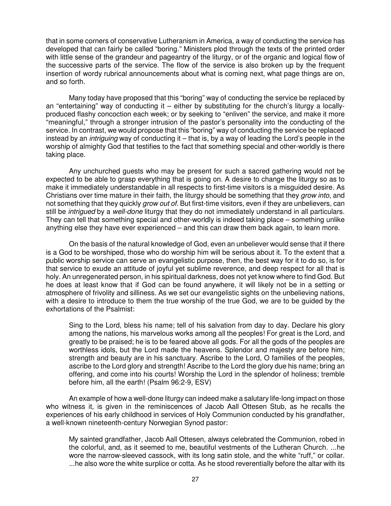that in some corners of conservative Lutheranism in America, a way of conducting the service has developed that can fairly be called "boring." Ministers plod through the texts of the printed order with little sense of the grandeur and pageantry of the liturgy, or of the organic and logical flow of the successive parts of the service. The flow of the service is also broken up by the frequent insertion of wordy rubrical announcements about what is coming next, what page things are on, and so forth.

Many today have proposed that this "boring" way of conducting the service be replaced by an "entertaining" way of conducting it – either by substituting for the church's liturgy a locallyproduced flashy concoction each week; or by seeking to "enliven" the service, and make it more "meaningful," through a stronger intrusion of the pastor's personality into the conducting of the service. In contrast, we would propose that this "boring" way of conducting the service be replaced instead by an intriguing way of conducting it – that is, by a way of leading the Lord's people in the worship of almighty God that testifies to the fact that something special and other-worldly is there taking place.

Any unchurched guests who may be present for such a sacred gathering would not be expected to be able to grasp everything that is going on. A desire to change the liturgy so as to make it immediately understandable in all respects to first-time visitors is a misguided desire. As Christians over time mature in their faith, the liturgy should be something that they grow into, and not something that they quickly *grow out of*. But first-time visitors, even if they are unbelievers, can still be *intrigued* by a *well-done* liturgy that they do not immediately understand in all particulars. They can tell that something special and other-worldly is indeed taking place – something unlike anything else they have ever experienced – and this can draw them back again, to learn more.

On the basis of the natural knowledge of God, even an unbeliever would sense that if there is a God to be worshiped, those who do worship him will be serious about it. To the extent that a public worship service can serve an evangelistic purpose, then, the best way for it to do so, is for that service to exude an attitude of joyful yet sublime reverence, and deep respect for all that is holy. An unregenerated person, in his spiritual darkness, does not yet know where to find God. But he does at least know that if God can be found anywhere, it will likely not be in a setting or atmosphere of frivolity and silliness. As we set our evangelistic sights on the unbelieving nations, with a desire to introduce to them the true worship of the true God, we are to be guided by the exhortations of the Psalmist:

Sing to the Lord, bless his name; tell of his salvation from day to day. Declare his glory among the nations, his marvelous works among all the peoples! For great is the Lord, and greatly to be praised; he is to be feared above all gods. For all the gods of the peoples are worthless idols, but the Lord made the heavens. Splendor and majesty are before him; strength and beauty are in his sanctuary. Ascribe to the Lord, O families of the peoples, ascribe to the Lord glory and strength! Ascribe to the Lord the glory due his name; bring an offering, and come into his courts! Worship the Lord in the splendor of holiness; tremble before him, all the earth! (Psalm 96:2-9, ESV)

An example of how a well-done liturgy can indeed make a salutary life-long impact on those who witness it, is given in the reminiscences of Jacob Aall Ottesen Stub, as he recalls the experiences of his early childhood in services of Holy Communion conducted by his grandfather, a well-known nineteenth-century Norwegian Synod pastor:

My sainted grandfather, Jacob Aall Ottesen, always celebrated the Communion, robed in the colorful, and, as it seemed to me, beautiful vestments of the Lutheran Church. ...he wore the narrow-sleeved cassock, with its long satin stole, and the white "ruff," or collar. ...he also wore the white surplice or cotta. As he stood reverentially before the altar with its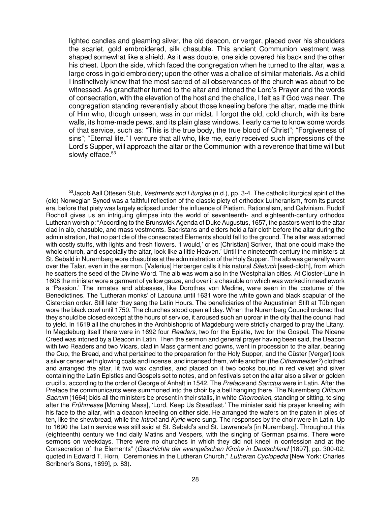lighted candles and gleaming silver, the old deacon, or verger, placed over his shoulders the scarlet, gold embroidered, silk chasuble. This ancient Communion vestment was shaped somewhat like a shield. As it was double, one side covered his back and the other his chest. Upon the side, which faced the congregation when he turned to the altar, was a large cross in gold embroidery; upon the other was a chalice of similar materials. As a child I instinctively knew that the most sacred of all observances of the church was about to be witnessed. As grandfather turned to the altar and intoned the Lord's Prayer and the words of consecration, with the elevation of the host and the chalice, I felt as if God was near. The congregation standing reverentially about those kneeling before the altar, made me think of Him who, though unseen, was in our midst. I forgot the old, cold church, with its bare walls, its home-made pews, and its plain glass windows. I early came to know some words of that service, such as: "This is the true body, the true blood of Christ"; "Forgiveness of sins"; "Eternal life." I venture that all who, like me, early received such impressions of the Lord's Supper, will approach the altar or the Communion with a reverence that time will but slowly efface.<sup>53</sup>

 $53$ Jacob Aall Ottesen Stub, Vestments and Liturgies (n.d.), pp. 3-4. The catholic liturgical spirit of the (old) Norwegian Synod was a faithful reflection of the classic piety of orthodox Lutheranism, from its purest era, before that piety was largely eclipsed under the influence of Pietism, Rationalism, and Calvinism. Rudolf Rocholl gives us an intriguing glimpse into the world of seventeenth- and eighteenth-century orthodox Lutheran worship: "According to the Brunswick Agenda of Duke Augustus, 1657, the pastors went to the altar clad in alb, chasuble, and mass vestments. Sacristans and elders held a fair cloth before the altar during the administration, that no particle of the consecrated Elements should fall to the ground. The altar was adorned with costly stuffs, with lights and fresh flowers. 'I would,' cries [Christian] Scriver, 'that one could make the whole church, and especially the altar, look like a little Heaven.' Until the nineteenth century the ministers at St. Sebald in Nuremberg wore chasubles at the administration of the Holy Supper. The alb was generally worn over the Talar, even in the sermon. [Valerius] Herberger calls it his natural *Säetuch* [seed-cloth], from which he scatters the seed of the Divine Word. The alb was worn also in the Westphalian cities. At Closter-Lüne in 1608 the minister wore a garment of yellow gauze, and over it a chasuble on which was worked in needlework a 'Passion.' The inmates and abbesses, like Dorothea von Medine, were seen in the costume of the Benedictines. The 'Lutheran monks' of Laccuna until 1631 wore the white gown and black scapular of the Cistercian order. Still later they sang the Latin Hours. The beneficiaries of the Augustinian Stift at Tübingen wore the black cowl until 1750. The churches stood open all day. When the Nuremberg Council ordered that they should be closed except at the hours of service, it aroused such an uproar in the city that the council had to yield. In 1619 all the churches in the Archbishopric of Magdeburg were strictly charged to pray the Litany. In Magdeburg itself there were in 1692 four *Readers*, two for the Epistle, two for the Gospel. The Nicene Creed was intoned by a Deacon in Latin. Then the sermon and general prayer having been said, the Deacon with two Readers and two Vicars, clad in Mass garment and gowns, went in procession to the altar, bearing the Cup, the Bread, and what pertained to the preparation for the Holy Supper, and the Cüster [Verger] took a silver censer with glowing coals and incense, and incensed them, while another (the Citharmeister?) clothed and arranged the altar, lit two wax candles, and placed on it two books bound in red velvet and silver containing the Latin Epistles and Gospels set to notes, and on festivals set on the altar also a silver or golden crucifix, according to the order of George of Anhalt in 1542. The Preface and Sanctus were in Latin. After the Preface the communicants were summoned into the choir by a bell hanging there. The Nuremberg Officium Sacrum (1664) bids all the ministers be present in their stalls, in white Chorrocken, standing or sitting, to sing after the Frühmesse [Morning Mass], 'Lord, Keep Us Steadfast.' The minister said his prayer kneeling with his face to the altar, with a deacon kneeling on either side. He arranged the wafers on the paten in piles of ten, like the shewbread, while the *Introit* and Kyrie were sung. The responses by the choir were in Latin. Up to 1690 the Latin service was still said at St. Sebald's and St. Lawrence's [in Nuremberg]. Throughout this (eighteenth) century we find daily Matins and Vespers, with the singing of German psalms. There were sermons on weekdays. There were no churches in which they did not kneel in confession and at the Consecration of the Elements" (Geschichte der evangelischen Kirche in Deutschland [1897], pp. 300-02; quoted in Edward T. Horn, "Ceremonies in the Lutheran Church," Lutheran Cyclopedia [New York: Charles Scribner's Sons, 1899], p. 83).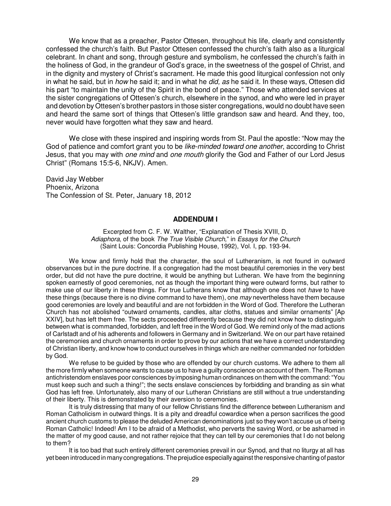We know that as a preacher, Pastor Ottesen, throughout his life, clearly and consistently confessed the church's faith. But Pastor Ottesen confessed the church's faith also as a liturgical celebrant. In chant and song, through gesture and symbolism, he confessed the church's faith in the holiness of God, in the grandeur of God's grace, in the sweetness of the gospel of Christ, and in the dignity and mystery of Christ's sacrament. He made this good liturgical confession not only in what he said, but in *how* he said it; and in what he *did, as* he said it. In these ways, Ottesen did his part "to maintain the unity of the Spirit in the bond of peace." Those who attended services at the sister congregations of Ottesen's church, elsewhere in the synod, and who were led in prayer and devotion by Ottesen's brother pastors in those sister congregations, would no doubt have seen and heard the same sort of things that Ottesen's little grandson saw and heard. And they, too, never would have forgotten what they saw and heard.

We close with these inspired and inspiring words from St. Paul the apostle: "Now may the God of patience and comfort grant you to be *like-minded toward one another*, according to Christ Jesus, that you may with one mind and one mouth glorify the God and Father of our Lord Jesus Christ" (Romans 15:5-6, NKJV). Amen.

David Jay Webber Phoenix, Arizona The Confession of St. Peter, January 18, 2012

## **ADDENDUM I**

Excerpted from C. F. W. Walther, "Explanation of Thesis XVIII, D, Adiaphora, of the book The True Visible Church," in Essays for the Church (Saint Louis: Concordia Publishing House, 1992), Vol. I, pp. 193-94.

We know and firmly hold that the character, the soul of Lutheranism, is not found in outward observances but in the pure doctrine. If a congregation had the most beautiful ceremonies in the very best order, but did not have the pure doctrine, it would be anything but Lutheran. We have from the beginning spoken earnestly of good ceremonies, not as though the important thing were outward forms, but rather to make use of our liberty in these things. For true Lutherans know that although one does not have to have these things (because there is no divine command to have them), one may nevertheless have them because good ceremonies are lovely and beautiful and are not forbidden in the Word of God. Therefore the Lutheran Church has not abolished "outward ornaments, candles, altar cloths, statues and similar ornaments" [Ap XXIV], but has left them free. The sects proceeded differently because they did not know how to distinguish between what is commanded, forbidden, and left free in the Word of God. We remind only of the mad actions of Carlstadt and of his adherents and followers in Germany and in Switzerland. We on our part have retained the ceremonies and church ornaments in order to prove by our actions that we have a correct understanding of Christian liberty, and know how to conduct ourselves in things which are neither commanded nor forbidden by God.

We refuse to be guided by those who are offended by our church customs. We adhere to them all the more firmly when someone wants to cause us to have a guilty conscience on account of them. The Roman antichristendom enslaves poor consciences by imposing human ordinances on them with the command: "You must keep such and such a thing!"; the sects enslave consciences by forbidding and branding as sin what God has left free. Unfortunately, also many of our Lutheran Christians are still without a true understanding of their liberty. This is demonstrated by their aversion to ceremonies.

It is truly distressing that many of our fellow Christians find the difference between Lutheranism and Roman Catholicism in outward things. It is a pity and dreadful cowardice when a person sacrifices the good ancient church customs to please the deluded American denominations just so they won't accuse us of being Roman Catholic! Indeed! Am I to be afraid of a Methodist, who perverts the saving Word, or be ashamed in the matter of my good cause, and not rather rejoice that they can tell by our ceremonies that I do not belong to them?

It is too bad that such entirely different ceremonies prevail in our Synod, and that no liturgy at all has yet been introduced in many congregations. The prejudice especially against the responsive chanting of pastor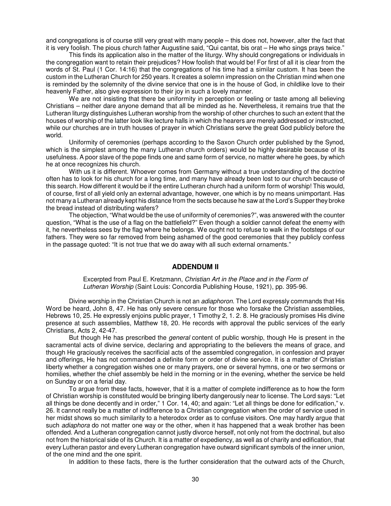and congregations is of course still very great with many people – this does not, however, alter the fact that it is very foolish. The pious church father Augustine said, "Qui cantat, bis orat – He who sings prays twice."

This finds its application also in the matter of the liturgy. Why should congregations or individuals in the congregation want to retain their prejudices? How foolish that would be! For first of all it is clear from the words of St. Paul (1 Cor. 14:16) that the congregations of his time had a similar custom. It has been the custom in the Lutheran Church for 250 years. It creates a solemn impression on the Christian mind when one is reminded by the solemnity of the divine service that one is in the house of God, in childlike love to their heavenly Father, also give expression to their joy in such a lovely manner.

We are not insisting that there be uniformity in perception or feeling or taste among all believing Christians – neither dare anyone demand that all be minded as he. Nevertheless, it remains true that the Lutheran liturgy distinguishes Lutheran worship from the worship of other churches to such an extent that the houses of worship of the latter look like lecture halls in which the hearers are merely addressed or instructed, while our churches are in truth houses of prayer in which Christians serve the great God publicly before the world.

Uniformity of ceremonies (perhaps according to the Saxon Church order published by the Synod, which is the simplest among the many Lutheran church orders) would be highly desirable because of its usefulness. A poor slave of the pope finds one and same form of service, no matter where he goes, by which he at once recognizes his church.

With us it is different. Whoever comes from Germany without a true understanding of the doctrine often has to look for his church for a long time, and many have already been lost to our church because of this search. How different it would be if the entire Lutheran church had a uniform form of worship! This would, of course, first of all yield only an external advantage, however, one which is by no means unimportant. Has not many a Lutheran already kept his distance from the sects because he saw at the Lord's Supper they broke the bread instead of distributing wafers?

The objection, "What would be the use of uniformity of ceremonies?", was answered with the counter question, "What is the use of a flag on the battlefield?" Even though a soldier cannot defeat the enemy with it, he nevertheless sees by the flag where he belongs. We ought not to refuse to walk in the footsteps of our fathers. They were so far removed from being ashamed of the good ceremonies that they publicly confess in the passage quoted: "It is not true that we do away with all such external ornaments."

#### **ADDENDUM II**

Excerpted from Paul E. Kretzmann, Christian Art in the Place and in the Form of Lutheran Worship (Saint Louis: Concordia Publishing House, 1921), pp. 395-96.

Divine worship in the Christian Church is not an *adiaphoron*. The Lord expressly commands that His Word be heard, John 8, 47. He has only severe censure for those who forsake the Christian assemblies, Hebrews 10, 25. He expressly enjoins public prayer, 1 Timothy 2, 1. 2. 8. He graciously promises His divine presence at such assemblies, Matthew 18, 20. He records with approval the public services of the early Christians, Acts 2, 42-47.

But though He has prescribed the *general* content of public worship, though He is present in the sacramental acts of divine service, declaring and appropriating to the believers the means of grace, and though He graciously receives the sacrificial acts of the assembled congregation, in confession and prayer and offerings, He has not commanded a definite form or order of divine service. It is a matter of Christian liberty whether a congregation wishes one or many prayers, one or several hymns, one or two sermons or homilies, whether the chief assembly be held in the morning or in the evening, whether the service be held on Sunday or on a ferial day.

To argue from these facts, however, that it is a matter of complete indifference as to how the form of Christian worship is constituted would be bringing liberty dangerously near to license. The Lord says: "Let all things be done decently and in order," 1 Cor. 14, 40; and again: "Let all things be done for edification," v. 26. It cannot really be a matter of indifference to a Christian congregation when the order of service used in her midst shows so much similarity to a heterodox order as to confuse visitors. One may hardly argue that such *adiaphora* do not matter one way or the other, when it has happened that a weak brother has been offended. And a Lutheran congregation cannot justly divorce herself, not only not from the doctrinal, but also not from the historical side of its Church. It is a matter of expediency, as well as of charity and edification, that every Lutheran pastor and every Lutheran congregation have outward significant symbols of the inner union, of the one mind and the one spirit.

In addition to these facts, there is the further consideration that the outward acts of the Church,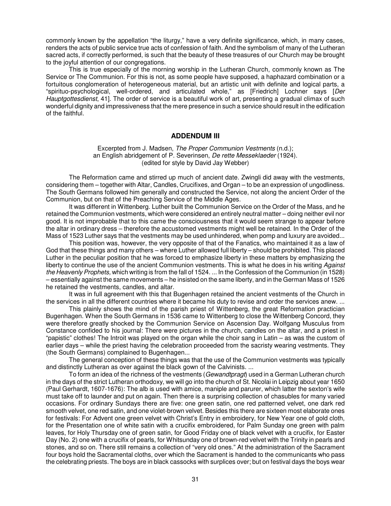commonly known by the appellation "the liturgy," have a very definite significance, which, in many cases, renders the acts of public service true acts of confession of faith. And the symbolism of many of the Lutheran sacred acts, if correctly performed, is such that the beauty of these treasures of our Church may be brought to the joyful attention of our congregations.

This is true especially of the morning worship in the Lutheran Church, commonly known as The Service or The Communion. For this is not, as some people have supposed, a haphazard combination or a fortuitous conglomeration of heterogeneous material, but an artistic unit with definite and logical parts, a "spirituo-psychological, well-ordered, and articulated whole," as [Friedrich] Lochner says [Der Hauptgottesdienst, 41]. The order of service is a beautiful work of art, presenting a gradual climax of such wonderful dignity and impressiveness that the mere presence in such a service should result in the edification of the faithful.

### **ADDENDUM III**

Excerpted from J. Madsen, The Proper Communion Vestments (n.d.); an English abridgement of P. Severinsen, De rette Messeklaeder (1924). (edited for style by David Jay Webber)

The Reformation came and stirred up much of ancient date. Zwingli did away with the vestments, considering them – together with Altar, Candles, Crucifixes, and Organ – to be an expression of ungodliness. The South Germans followed him generally and constructed the Service, not along the ancient Order of the Communion, but on that of the Preaching Service of the Middle Ages.

It was different in Wittenberg. Luther built the Communion Service on the Order of the Mass, and he retained the Communion vestments, which were considered an entirely neutral matter – doing neither evil nor good. It is not improbable that to this came the consciousness that it would seem strange to appear before the altar in ordinary dress – therefore the accustomed vestments might well be retained. In the Order of the Mass of 1523 Luther says that the vestments may be used unhindered, when pomp and luxury are avoided...

This position was, however, the very opposite of that of the Fanatics, who maintained it as a law of God that these things and many others – where Luther allowed full liberty – should be prohibited. This placed Luther in the peculiar position that he was forced to emphasize liberty in these matters by emphasizing the liberty to continue the use of the ancient Communion vestments. This is what he does in his writing Against the Heavenly Prophets, which writing is from the fall of 1524. ... In the Confession of the Communion (in 1528) – essentially against the same movements – he insisted on the same liberty, and in the German Mass of 1526 he retained the vestments, candles, and altar.

It was in full agreement with this that Bugenhagen retained the ancient vestments of the Church in the services in all the different countries where it became his duty to revise and order the services anew. ...

This plainly shows the mind of the parish priest of Wittenberg, the great Reformation practician Bugenhagen. When the South Germans in 1536 came to Wittenberg to close the Wittenberg Concord, they were therefore greatly shocked by the Communion Service on Ascension Day. Wolfgang Musculus from Constance confided to his journal: There were pictures in the church, candles on the altar, and a priest in "papistic" clothes! The Introit was played on the organ while the choir sang in Latin – as was the custom of earlier days – while the priest having the celebration proceeded from the sacristy wearing vestments. They (the South Germans) complained to Bugenhagen...

The general conception of these things was that the use of the Communion vestments was typically and distinctly Lutheran as over against the black gown of the Calvinists. ...

To form an idea of the richness of the vestments (Gewandtpragt) used in a German Lutheran church in the days of the strict Lutheran orthodoxy, we will go into the church of St. Nicolai in Leipzig about year 1650 (Paul Gerhardt, 1607-1676): The alb is used with amice, maniple and parurer, which latter the sexton's wife must take off to launder and put on again. Then there is a surprising collection of chasubles for many varied occasions. For ordinary Sundays there are five: one green satin, one red patterned velvet, one dark red smooth velvet, one red satin, and one violet-brown velvet. Besides this there are sixteen most elaborate ones for festivals: For Advent one green velvet with Christ's Entry in embroidery, for New Year one of gold cloth, for the Presentation one of white satin with a crucifix embroidered, for Palm Sunday one green with palm leaves, for Holy Thursday one of green satin, for Good Friday one of black velvet with a crucifix, for Easter Day (No. 2) one with a crucifix of pearls, for Whitsunday one of brown-red velvet with the Trinity in pearls and stones, and so on. There still remains a collection of "very old ones." At the administration of the Sacrament four boys hold the Sacramental cloths, over which the Sacrament is handed to the communicants who pass the celebrating priests. The boys are in black cassocks with surplices over; but on festival days the boys wear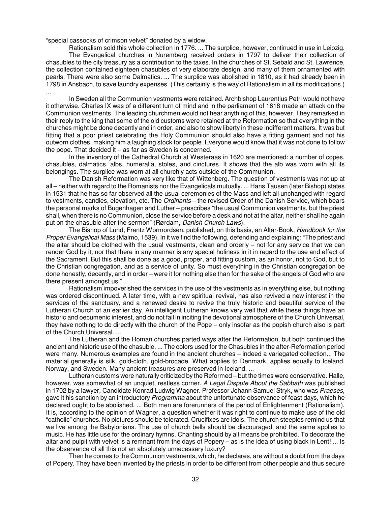"special cassocks of crimson velvet" donated by a widow.

Rationalism sold this whole collection in 1776. ... The surplice, however, continued in use in Leipzig. The Evangelical churches in Nuremberg received orders in 1797 to deliver their collection of chasubles to the city treasury as a contribution to the taxes. In the churches of St. Sebald and St. Lawrence, the collection contained eighteen chasubles of very elaborate design, and many of them ornamented with pearls. There were also some Dalmatics. ... The surplice was abolished in 1810, as it had already been in 1798 in Ansbach, to save laundry expenses. (This certainly is the way of Rationalism in all its modifications.) ...

In Sweden all the Communion vestments were retained. Archbishop Laurentius Petri would not have it otherwise. Charles IX was of a different turn of mind and in the parliament of 1618 made an attack on the Communion vestments. The leading churchmen would not hear anything of this, however. They remarked in their reply to the king that some of the old customs were retained at the Reformation so that everything in the churches might be done decently and in order, and also to show liberty in these indifferent matters. It was but fitting that a poor priest celebrating the Holy Communion should also have a fitting garment and not his outworn clothes, making him a laughing stock for people. Everyone would know that it was not done to follow the pope. That decided it – as far as Sweden is concerned.

In the inventory of the Cathedral Church at Westeraas in 1620 are mentioned: a number of copes, chasubles, dalmatics, albs, humeralia, stoles, and cinctures. It shows that the alb was worn with all its belongings. The surplice was worn at all churchly acts outside of the Communion.

The Danish Reformation was very like that of Wittenberg. The question of vestments was not up at all – neither with regard to the Romanists nor the Evangelicals mutually. ... Hans Tausen (later Bishop) states in 1531 that he has so far observed all the usual ceremonies of the Mass and left all unchanged with regard to vestments, candles, elevation, etc. The Ordinants – the revised Order of the Danish Service, which bears the personal marks of Bugenhagen and Luther – prescribes "the usual Communion vestments, but the priest shall, when there is no Communion, close the service before a desk and not at the altar, neither shall he again put on the chasuble after the sermon" (Rørdam, Danish Church Laws).

The Bishop of Lund, Frantz Wormordsen, published, on this basis, an Altar-Book, Handbook for the Proper Evangelical Mass (Malmo, 1539). In it we find the following, defending and explaining: "The priest and the altar should be clothed with the usual vestments, clean and orderly – not for any service that we can render God by it, nor that there in any manner is any special holiness in it in regard to the use and effect of the Sacrament. But this shall be done as a good, proper, and fitting custom, as an honor, not to God, but to the Christian congregation, and as a service of unity. So must everything in the Christian congregation be done honestly, decently, and in order – were it for nothing else than for the sake of the angels of God who are there present amongst us." ...

Rationalism impoverished the services in the use of the vestments as in everything else, but nothing was ordered discontinued. A later time, with a new spiritual revival, has also revived a new interest in the services of the sanctuary, and a renewed desire to revive the truly historic and beautiful service of the Lutheran Church of an earlier day. An intelligent Lutheran knows very well that while these things have an historic and oecumenic interest, and do not fail in inciting the devotional atmosphere of the Church Universal, they have nothing to do directly with the church of the Pope – only insofar as the popish church also is part of the Church Universal. ...

The Lutheran and the Roman churches parted ways after the Reformation, but both continued the ancient and historic use of the chasuble. ... The colors used for the Chasubles in the after-Reformation period were many. Numerous examples are found in the ancient churches – indeed a variegated collection... The material generally is silk, gold-cloth, gold-brocade. What applies to Denmark, applies equally to Iceland, Norway, and Sweden. Many ancient treasures are preserved in Iceland. ...

Lutheran customs were naturally criticized by the Reformed – but the times were conservative. Halle, however, was somewhat of an unquiet, restless corner. A Legal Dispute About the Sabbath was published in 1702 by a lawyer, Candidate Konrad Ludwig Wagner. Professor Johann Samuel Stryk, who was Praeses, gave it his sanction by an introductory Programma about the unfortunate observance of feast days, which he declared ought to be abolished. ... Both men are forerunners of the period of Enlightenment (Rationalism). It is, according to the opinion of Wagner, a question whether it was right to continue to make use of the old "catholic" churches. No pictures should be tolerated. Crucifixes are idols. The church steeples remind us that we live among the Babylonians. The use of church bells should be discouraged, and the same applies to music. He has little use for the ordinary hymns. Chanting should by all means be prohibited. To decorate the altar and pulpit with velvet is a remnant from the days of Popery – as is the idea of using black in Lent! ... Is the observance of all this not an absolutely unnecessary luxury?

Then he comes to the Communion vestments, which, he declares, are without a doubt from the days of Popery. They have been invented by the priests in order to be different from other people and thus secure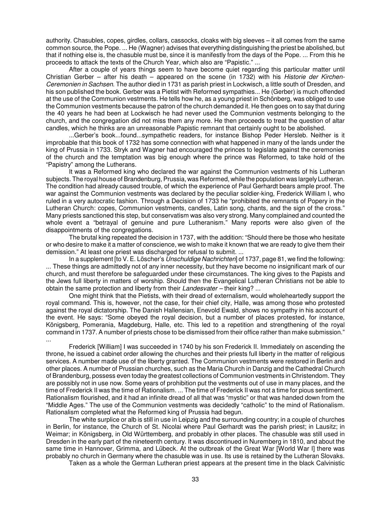authority. Chasubles, copes, girdles, collars, cassocks, cloaks with big sleeves – it all comes from the same common source, the Pope. ... He (Wagner) advises that everything distinguishing the priest be abolished, but that if nothing else is, the chasuble must be, since it is manifestly from the days of the Pope. ... From this he proceeds to attack the texts of the Church Year, which also are "Papistic." ...

After a couple of years things seem to have become quiet regarding this particular matter until Christian Gerber – after his death – appeared on the scene (in 1732) with his Historie der Kirchen-Ceremonien in Sachsen. The author died in 1731 as parish priest in Lockwisch, a little south of Dresden, and his son published the book. Gerber was a Pietist with Reformed sympathies... He (Gerber) is much offended at the use of the Communion vestments. He tells how he, as a young priest in Schönberg, was obliged to use the Communion vestments because the patron of the church demanded it. He then goes on to say that during the 40 years he had been at Lockwisch he had never used the Communion vestments belonging to the church, and the congregation did not miss them any more. He then proceeds to treat the question of altar candles, which he thinks are an unreasonable Papistic remnant that certainly ought to be abolished.

...Gerber's book...found...sympathetic readers, for instance Bishop Peder Hersleb. Neither is it improbable that this book of 1732 has some connection with what happened in many of the lands under the king of Prussia in 1733. Stryk and Wagner had encouraged the princes to legislate against the ceremonies of the church and the temptation was big enough where the prince was Reformed, to take hold of the "Papistry" among the Lutherans.

It was a Reformed king who declared the war against the Communion vestments of his Lutheran subjects. The royal house of Brandenburg, Prussia, was Reformed, while the population was largely Lutheran. The condition had already caused trouble, of which the experience of Paul Gerhardt bears ample proof. The war against the Communion vestments was declared by the peculiar soldier-king, Frederick William I, who ruled in a very autocratic fashion. Through a Decision of 1733 he "prohibited the remnants of Popery in the Lutheran Church: copes, Communion vestments, candles, Latin song, chants, and the sign of the cross." Many priests sanctioned this step, but conservatism was also very strong. Many complained and counted the whole event a "betrayal of genuine and pure Lutheranism." Many reports were also given of the disappointments of the congregations.

The brutal king repeated the decision in 1737, with the addition: "Should there be those who hesitate or who desire to make it a matter of conscience, we wish to make it known that we are ready to give them their demission." At least one priest was discharged for refusal to submit. ...

In a supplement [to V. E. Löscher's Unschuldige Nachrichten] of 1737, page 81, we find the following: ... These things are admittedly not of any inner necessity, but they have become no insignificant mark of our church, and must therefore be safeguarded under these circumstances. The king gives to the Papists and the Jews full liberty in matters of worship. Should then the Evangelical Lutheran Christians not be able to obtain the same protection and liberty from their *Landesvater* – their king? ...

One might think that the Pietists, with their dread of externalism, would wholeheartedly support the royal command. This is, however, not the case, for their chief city, Halle, was among those who protested against the royal dictatorship. The Danish Hallensian, Enevold Ewald, shows no sympathy in his account of the event. He says: "Some obeyed the royal decision, but a number of places protested, for instance, Königsberg, Pomerania, Magdeburg, Halle, etc. This led to a repetition and strengthening of the royal command in 1737. A number of priests chose to be dismissed from their office rather than make submission." ...

Frederick [William] I was succeeded in 1740 by his son Frederick II. Immediately on ascending the throne, he issued a cabinet order allowing the churches and their priests full liberty in the matter of religious services. A number made use of the liberty granted. The Communion vestments were restored in Berlin and other places. A number of Prussian churches, such as the Maria Church in Danzig and the Cathedral Church of Brandenburg, possess even today the greatest collections of Communion vestments in Christendom. They are possibly not in use now. Some years of prohibition put the vestments out of use in many places, and the time of Frederick II was the time of Rationalism. ... The time of Frederick II was not a time for pious sentiment. Rationalism flourished, and it had an infinite dread of all that was "mystic" or that was handed down from the "Middle Ages." The use of the Communion vestments was decidedly "catholic" to the mind of Rationalism. Rationalism completed what the Reformed king of Prussia had begun.

The white surplice or alb is still in use in Leipzig and the surrounding country; in a couple of churches in Berlin, for instance, the Church of St. Nicolai where Paul Gerhardt was the parish priest; in Lausitz; in Weimar; in Königsberg, in Old Württemberg, and probably in other places. The chasuble was still used in Dresden in the early part of the nineteenth century. It was discontinued in Nuremberg in 1810, and about the same time in Hannover, Grimma, and Lübeck. At the outbreak of the Great War [World War I] there was probably no church in Germany where the chasuble was in use. Its use is retained by the Lutheran Slovaks.

Taken as a whole the German Lutheran priest appears at the present time in the black Calvinistic